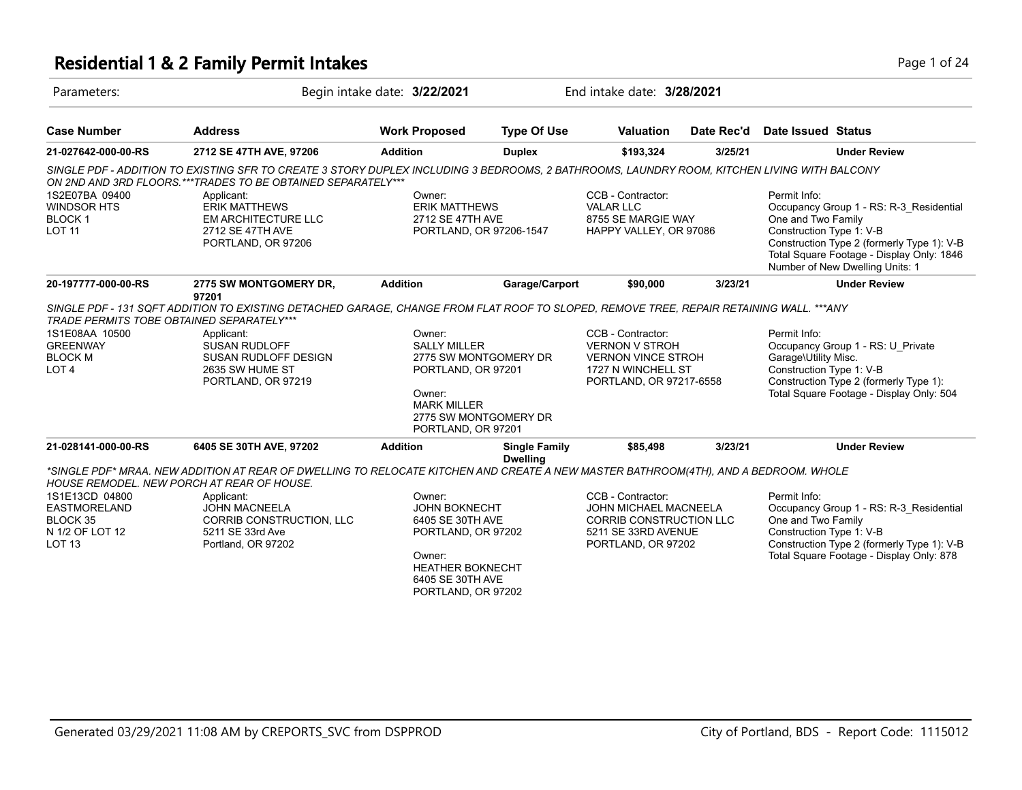### **Residential 1 & 2 Family Permit Intakes Page 1 of 24 Page 1 of 24**

| Parameters:                                                                                                                                        |                                                                                                                                                                                                                                                                                                                              | Begin intake date: 3/22/2021                                                                                                                                                                                                                                                                           |                                         | End intake date: 3/28/2021                                                                                                |            |                                                                                                                                                                                             |                                                                                                                                                                       |
|----------------------------------------------------------------------------------------------------------------------------------------------------|------------------------------------------------------------------------------------------------------------------------------------------------------------------------------------------------------------------------------------------------------------------------------------------------------------------------------|--------------------------------------------------------------------------------------------------------------------------------------------------------------------------------------------------------------------------------------------------------------------------------------------------------|-----------------------------------------|---------------------------------------------------------------------------------------------------------------------------|------------|---------------------------------------------------------------------------------------------------------------------------------------------------------------------------------------------|-----------------------------------------------------------------------------------------------------------------------------------------------------------------------|
| <b>Case Number</b>                                                                                                                                 | <b>Address</b>                                                                                                                                                                                                                                                                                                               | <b>Work Proposed</b>                                                                                                                                                                                                                                                                                   | <b>Type Of Use</b>                      | <b>Valuation</b>                                                                                                          | Date Rec'd | <b>Date Issued Status</b>                                                                                                                                                                   |                                                                                                                                                                       |
| 21-027642-000-00-RS                                                                                                                                | 2712 SE 47TH AVE, 97206                                                                                                                                                                                                                                                                                                      | <b>Addition</b>                                                                                                                                                                                                                                                                                        | <b>Duplex</b>                           | \$193,324                                                                                                                 | 3/25/21    |                                                                                                                                                                                             | <b>Under Review</b>                                                                                                                                                   |
| 1S2E07BA 09400<br><b>WINDSOR HTS</b><br><b>BLOCK1</b><br><b>LOT 11</b>                                                                             | SINGLE PDF - ADDITION TO EXISTING SFR TO CREATE 3 STORY DUPLEX INCLUDING 3 BEDROOMS, 2 BATHROOMS, LAUNDRY ROOM, KITCHEN LIVING WITH BALCONY<br>ON 2ND AND 3RD FLOORS. *** TRADES TO BE OBTAINED SEPARATELY ***<br>Applicant:<br><b>ERIK MATTHEWS</b><br><b>EM ARCHITECTURE LLC</b><br>2712 SE 47TH AVE<br>PORTLAND, OR 97206 | Owner:<br><b>ERIK MATTHEWS</b><br>2712 SE 47TH AVE<br>PORTLAND, OR 97206-1547                                                                                                                                                                                                                          |                                         | CCB - Contractor:<br><b>VALAR LLC</b><br>8755 SE MARGIE WAY<br>HAPPY VALLEY, OR 97086                                     |            | Permit Info:<br>One and Two Family<br>Construction Type 1: V-B                                                                                                                              | Occupancy Group 1 - RS: R-3 Residential<br>Construction Type 2 (formerly Type 1): V-B<br>Total Square Footage - Display Only: 1846<br>Number of New Dwelling Units: 1 |
| 20-197777-000-00-RS                                                                                                                                | 2775 SW MONTGOMERY DR,                                                                                                                                                                                                                                                                                                       | <b>Addition</b>                                                                                                                                                                                                                                                                                        | Garage/Carport                          | \$90,000                                                                                                                  | 3/23/21    |                                                                                                                                                                                             | <b>Under Review</b>                                                                                                                                                   |
| <b>TRADE PERMITS TOBE OBTAINED SEPARATELY***</b><br>1S1E08AA 10500<br><b>GREENWAY</b><br><b>BLOCK M</b><br>LOT <sub>4</sub><br>21-028141-000-00-RS | 97201<br>Applicant:<br><b>SUSAN RUDLOFF</b><br>SUSAN RUDLOFF DESIGN<br>2635 SW HUME ST<br>PORTLAND, OR 97219<br>6405 SE 30TH AVE, 97202                                                                                                                                                                                      | SINGLE PDF - 131 SQFT ADDITION TO EXISTING DETACHED GARAGE, CHANGE FROM FLAT ROOF TO SLOPED, REMOVE TREE, REPAIR RETAINING WALL. ***ANY<br>Owner:<br><b>SALLY MILLER</b><br>2775 SW MONTGOMERY DR<br>PORTLAND, OR 97201<br>Owner:<br><b>MARK MILLER</b><br>2775 SW MONTGOMERY DR<br>PORTLAND, OR 97201 |                                         | CCB - Contractor:<br><b>VERNON V STROH</b><br><b>VERNON VINCE STROH</b><br>1727 N WINCHELL ST<br>PORTLAND, OR 97217-6558  |            | Permit Info:<br>Occupancy Group 1 - RS: U Private<br>Garage\Utility Misc.<br>Construction Type 1: V-B<br>Construction Type 2 (formerly Type 1):<br>Total Square Footage - Display Only: 504 |                                                                                                                                                                       |
|                                                                                                                                                    |                                                                                                                                                                                                                                                                                                                              | <b>Addition</b>                                                                                                                                                                                                                                                                                        | <b>Single Family</b><br><b>Dwelling</b> | \$85,498                                                                                                                  | 3/23/21    |                                                                                                                                                                                             | <b>Under Review</b>                                                                                                                                                   |
| 1S1E13CD 04800<br><b>EASTMORELAND</b><br>BLOCK 35<br>N 1/2 OF LOT 12<br><b>LOT 13</b>                                                              | *SINGLE PDF* MRAA. NEW ADDITION AT REAR OF DWELLING TO RELOCATE KITCHEN AND CREATE A NEW MASTER BATHROOM(4TH), AND A BEDROOM. WHOLE<br>HOUSE REMODEL. NEW PORCH AT REAR OF HOUSE.<br>Applicant:<br><b>JOHN MACNEELA</b><br>CORRIB CONSTRUCTION, LLC<br>5211 SE 33rd Ave<br>Portland, OR 97202                                | Owner:<br><b>JOHN BOKNECHT</b><br>6405 SE 30TH AVE<br>PORTLAND, OR 97202<br>Owner:<br><b>HEATHER BOKNECHT</b><br>6405 SE 30TH AVE<br>PORTLAND, OR 97202                                                                                                                                                |                                         | CCB - Contractor:<br>JOHN MICHAEL MACNEELA<br><b>CORRIB CONSTRUCTION LLC</b><br>5211 SE 33RD AVENUE<br>PORTLAND, OR 97202 |            | Permit Info:<br>One and Two Family<br>Construction Type 1: V-B                                                                                                                              | Occupancy Group 1 - RS: R-3_Residential<br>Construction Type 2 (formerly Type 1): V-B<br>Total Square Footage - Display Only: 878                                     |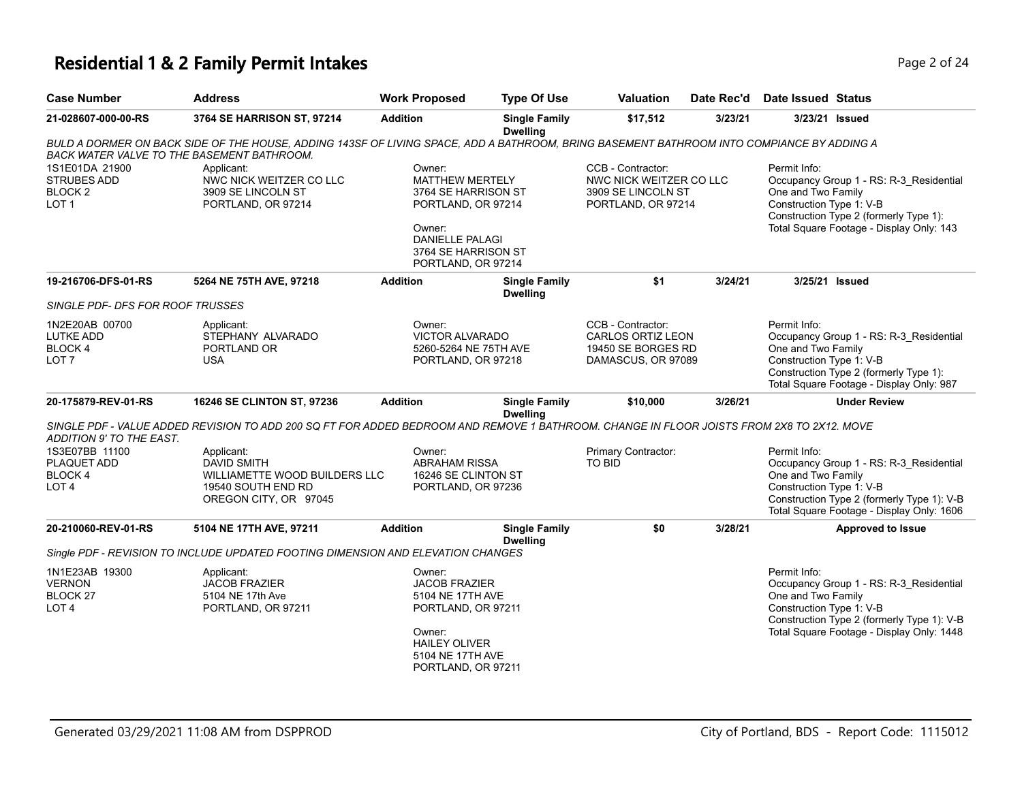### **Residential 1 & 2 Family Permit Intakes Page 1 and 24 and 24 and 24 and 24 and 24 and 24 and 24 and 24 and 24 and 24 and 24 and 24 and 24 and 24 and 24 and 25 and 25 and 25 and 25 and 25 and 25 and 25 and 25 and 25 and**

| <b>Case Number</b>                                                         | <b>Address</b>                                                                                                                                                                                 | <b>Work Proposed</b>                                                                                                                                           | <b>Type Of Use</b>                      | <b>Valuation</b>                                                                          | Date Rec'd | <b>Date Issued Status</b>                                      |                                                                                                                                    |
|----------------------------------------------------------------------------|------------------------------------------------------------------------------------------------------------------------------------------------------------------------------------------------|----------------------------------------------------------------------------------------------------------------------------------------------------------------|-----------------------------------------|-------------------------------------------------------------------------------------------|------------|----------------------------------------------------------------|------------------------------------------------------------------------------------------------------------------------------------|
| 21-028607-000-00-RS                                                        | 3764 SE HARRISON ST, 97214                                                                                                                                                                     | <b>Addition</b>                                                                                                                                                | <b>Single Family</b><br><b>Dwelling</b> | \$17,512                                                                                  | 3/23/21    | 3/23/21 Issued                                                 |                                                                                                                                    |
|                                                                            | BULD A DORMER ON BACK SIDE OF THE HOUSE, ADDING 143SF OF LIVING SPACE, ADD A BATHROOM, BRING BASEMENT BATHROOM INTO COMPIANCE BY ADDING A<br><b>BACK WATER VALVE TO THE BASEMENT BATHROOM.</b> |                                                                                                                                                                |                                         |                                                                                           |            |                                                                |                                                                                                                                    |
| 1S1E01DA 21900<br>STRUBES ADD<br>BLOCK 2<br>LOT <sub>1</sub>               | Applicant:<br>NWC NICK WEITZER CO LLC<br>3909 SE LINCOLN ST<br>PORTLAND, OR 97214                                                                                                              | Owner:<br><b>MATTHEW MERTELY</b><br>3764 SE HARRISON ST<br>PORTLAND, OR 97214<br>Owner:<br><b>DANIELLE PALAGI</b><br>3764 SE HARRISON ST<br>PORTLAND, OR 97214 |                                         | CCB - Contractor:<br>NWC NICK WEITZER CO LLC<br>3909 SE LINCOLN ST<br>PORTLAND, OR 97214  |            | Permit Info:<br>One and Two Family<br>Construction Type 1: V-B | Occupancy Group 1 - RS: R-3_Residential<br>Construction Type 2 (formerly Type 1):<br>Total Square Footage - Display Only: 143      |
| 19-216706-DFS-01-RS                                                        | 5264 NE 75TH AVE, 97218                                                                                                                                                                        | <b>Addition</b>                                                                                                                                                | <b>Single Family</b><br><b>Dwelling</b> | \$1                                                                                       | 3/24/21    | 3/25/21 Issued                                                 |                                                                                                                                    |
| SINGLE PDF- DFS FOR ROOF TRUSSES                                           |                                                                                                                                                                                                |                                                                                                                                                                |                                         |                                                                                           |            |                                                                |                                                                                                                                    |
| 1N2E20AB 00700<br><b>LUTKE ADD</b><br>BLOCK 4<br>LOT <sub>7</sub>          | Applicant:<br>STEPHANY ALVARADO<br>PORTLAND OR<br><b>USA</b>                                                                                                                                   | Owner:<br><b>VICTOR ALVARADO</b><br>5260-5264 NE 75TH AVE<br>PORTLAND, OR 97218                                                                                |                                         | CCB - Contractor:<br><b>CARLOS ORTIZ LEON</b><br>19450 SE BORGES RD<br>DAMASCUS, OR 97089 |            | Permit Info:<br>One and Two Family<br>Construction Type 1: V-B | Occupancy Group 1 - RS: R-3 Residential<br>Construction Type 2 (formerly Type 1):<br>Total Square Footage - Display Only: 987      |
| 20-175879-REV-01-RS                                                        | 16246 SE CLINTON ST, 97236                                                                                                                                                                     | <b>Addition</b>                                                                                                                                                | <b>Single Family</b><br><b>Dwelling</b> | \$10,000                                                                                  | 3/26/21    |                                                                | <b>Under Review</b>                                                                                                                |
| ADDITION 9' TO THE EAST.                                                   | SINGLE PDF - VALUE ADDED REVISION TO ADD 200 SQ FT FOR ADDED BEDROOM AND REMOVE 1 BATHROOM. CHANGE IN FLOOR JOISTS FROM 2X8 TO 2X12. MOVE                                                      |                                                                                                                                                                |                                         |                                                                                           |            |                                                                |                                                                                                                                    |
| 1S3E07BB 11100<br>PLAQUET ADD<br><b>BLOCK4</b><br>LOT <sub>4</sub>         | Applicant:<br><b>DAVID SMITH</b><br>WILLIAMETTE WOOD BUILDERS LLC<br>19540 SOUTH END RD<br>OREGON CITY, OR 97045                                                                               | Owner:<br><b>ABRAHAM RISSA</b><br>16246 SE CLINTON ST<br>PORTLAND, OR 97236                                                                                    |                                         | Primary Contractor:<br><b>TO BID</b>                                                      |            | Permit Info:<br>One and Two Family<br>Construction Type 1: V-B | Occupancy Group 1 - RS: R-3 Residential<br>Construction Type 2 (formerly Type 1): V-B<br>Total Square Footage - Display Only: 1606 |
| 20-210060-REV-01-RS                                                        | 5104 NE 17TH AVE, 97211                                                                                                                                                                        | <b>Addition</b>                                                                                                                                                | <b>Single Family</b><br><b>Dwelling</b> | \$0                                                                                       | 3/28/21    |                                                                | <b>Approved to Issue</b>                                                                                                           |
|                                                                            | Single PDF - REVISION TO INCLUDE UPDATED FOOTING DIMENSION AND ELEVATION CHANGES                                                                                                               |                                                                                                                                                                |                                         |                                                                                           |            |                                                                |                                                                                                                                    |
| 1N1E23AB 19300<br><b>VERNON</b><br>BLOCK <sub>27</sub><br>LOT <sub>4</sub> | Applicant:<br><b>JACOB FRAZIER</b><br>5104 NE 17th Ave<br>PORTLAND, OR 97211                                                                                                                   | Owner:<br><b>JACOB FRAZIER</b><br>5104 NE 17TH AVE<br>PORTLAND, OR 97211<br>Owner:<br><b>HAILEY OLIVER</b><br>5104 NE 17TH AVE<br>PORTLAND, OR 97211           |                                         |                                                                                           |            | Permit Info:<br>One and Two Family<br>Construction Type 1: V-B | Occupancy Group 1 - RS: R-3_Residential<br>Construction Type 2 (formerly Type 1): V-B<br>Total Square Footage - Display Only: 1448 |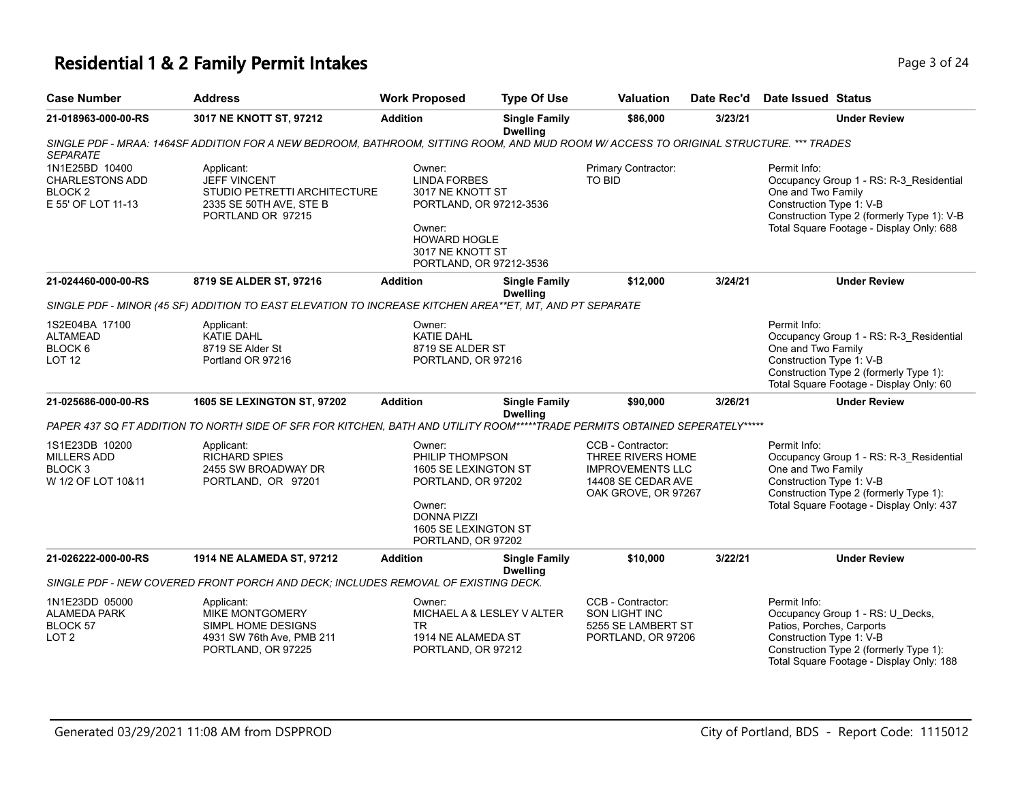# **Residential 1 & 2 Family Permit Intakes Page 1 0 AM** Page 3 of 24

| <b>Case Number</b>                                                               | <b>Address</b>                                                                                                                         | <b>Work Proposed</b>                                                                                                                                         | <b>Type Of Use</b>                      | <b>Valuation</b>                                                                                               | Date Rec'd | Date Issued Status                                                                                                                                                                                  |
|----------------------------------------------------------------------------------|----------------------------------------------------------------------------------------------------------------------------------------|--------------------------------------------------------------------------------------------------------------------------------------------------------------|-----------------------------------------|----------------------------------------------------------------------------------------------------------------|------------|-----------------------------------------------------------------------------------------------------------------------------------------------------------------------------------------------------|
| 21-018963-000-00-RS                                                              | 3017 NE KNOTT ST, 97212                                                                                                                | <b>Addition</b>                                                                                                                                              | <b>Single Family</b><br><b>Dwelling</b> | \$86,000                                                                                                       | 3/23/21    | <b>Under Review</b>                                                                                                                                                                                 |
| <b>SEPARATE</b>                                                                  | SINGLE PDF - MRAA: 1464SF ADDITION FOR A NEW BEDROOM, BATHROOM, SITTING ROOM, AND MUD ROOM W/ ACCESS TO ORIGINAL STRUCTURE. *** TRADES |                                                                                                                                                              |                                         |                                                                                                                |            |                                                                                                                                                                                                     |
| 1N1E25BD 10400<br><b>CHARLESTONS ADD</b><br><b>BLOCK2</b><br>E 55' OF LOT 11-13  | Applicant:<br><b>JEFF VINCENT</b><br>STUDIO PETRETTI ARCHITECTURE<br>2335 SE 50TH AVE, STE B<br>PORTLAND OR 97215                      | Owner:<br><b>LINDA FORBES</b><br>3017 NE KNOTT ST<br>PORTLAND, OR 97212-3536<br>Owner:<br><b>HOWARD HOGLE</b><br>3017 NE KNOTT ST<br>PORTLAND, OR 97212-3536 |                                         | Primary Contractor:<br>TO BID                                                                                  |            | Permit Info:<br>Occupancy Group 1 - RS: R-3_Residential<br>One and Two Family<br>Construction Type 1: V-B<br>Construction Type 2 (formerly Type 1): V-B<br>Total Square Footage - Display Only: 688 |
| 21-024460-000-00-RS                                                              | 8719 SE ALDER ST, 97216                                                                                                                | <b>Addition</b>                                                                                                                                              | <b>Single Family</b><br><b>Dwelling</b> | \$12,000                                                                                                       | 3/24/21    | <b>Under Review</b>                                                                                                                                                                                 |
|                                                                                  | SINGLE PDF - MINOR (45 SF) ADDITION TO EAST ELEVATION TO INCREASE KITCHEN AREA**ET, MT, AND PT SEPARATE                                |                                                                                                                                                              |                                         |                                                                                                                |            |                                                                                                                                                                                                     |
| 1S2E04BA 17100<br><b>ALTAMEAD</b><br>BLOCK 6<br>LOT <sub>12</sub>                | Applicant:<br><b>KATIE DAHL</b><br>8719 SE Alder St<br>Portland OR 97216                                                               | Owner:<br><b>KATIE DAHL</b><br>8719 SE ALDER ST<br>PORTLAND, OR 97216                                                                                        |                                         |                                                                                                                |            | Permit Info:<br>Occupancy Group 1 - RS: R-3_Residential<br>One and Two Family<br>Construction Type 1: V-B<br>Construction Type 2 (formerly Type 1):<br>Total Square Footage - Display Only: 60      |
| 21-025686-000-00-RS                                                              | <b>1605 SE LEXINGTON ST, 97202</b>                                                                                                     | <b>Addition</b>                                                                                                                                              | <b>Single Family</b>                    | \$90,000                                                                                                       | 3/26/21    | <b>Under Review</b>                                                                                                                                                                                 |
|                                                                                  | PAPER 437 SQ FT ADDITION TO NORTH SIDE OF SFR FOR KITCHEN, BATH AND UTILITY ROOM*****TRADE PERMITS OBTAINED SEPERATELY*****            |                                                                                                                                                              | <b>Dwelling</b>                         |                                                                                                                |            |                                                                                                                                                                                                     |
| 1S1E23DB 10200<br><b>MILLERS ADD</b><br>BLOCK <sub>3</sub><br>W 1/2 OF LOT 10&11 | Applicant:<br><b>RICHARD SPIES</b><br>2455 SW BROADWAY DR<br>PORTLAND, OR 97201                                                        | Owner:<br>PHILIP THOMPSON<br>1605 SE LEXINGTON ST<br>PORTLAND, OR 97202<br>Owner:<br><b>DONNA PIZZI</b><br>1605 SE LEXINGTON ST<br>PORTLAND, OR 97202        |                                         | CCB - Contractor:<br>THREE RIVERS HOME<br><b>IMPROVEMENTS LLC</b><br>14408 SE CEDAR AVE<br>OAK GROVE, OR 97267 |            | Permit Info:<br>Occupancy Group 1 - RS: R-3_Residential<br>One and Two Family<br>Construction Type 1: V-B<br>Construction Type 2 (formerly Type 1):<br>Total Square Footage - Display Only: 437     |
| 21-026222-000-00-RS                                                              | 1914 NE ALAMEDA ST, 97212                                                                                                              | <b>Addition</b>                                                                                                                                              | <b>Single Family</b><br><b>Dwelling</b> | \$10,000                                                                                                       | 3/22/21    | <b>Under Review</b>                                                                                                                                                                                 |
|                                                                                  | SINGLE PDF - NEW COVERED FRONT PORCH AND DECK: INCLUDES REMOVAL OF EXISTING DECK.                                                      |                                                                                                                                                              |                                         |                                                                                                                |            |                                                                                                                                                                                                     |
| 1N1E23DD 05000<br><b>ALAMEDA PARK</b><br>BLOCK 57<br>LOT <sub>2</sub>            | Applicant:<br><b>MIKE MONTGOMERY</b><br>SIMPL HOME DESIGNS<br>4931 SW 76th Ave, PMB 211<br>PORTLAND, OR 97225                          | Owner:<br>MICHAEL A & LESLEY V ALTER<br>TR.<br>1914 NE ALAMEDA ST<br>PORTLAND, OR 97212                                                                      |                                         | CCB - Contractor:<br><b>SON LIGHT INC</b><br>5255 SE LAMBERT ST<br>PORTLAND, OR 97206                          |            | Permit Info:<br>Occupancy Group 1 - RS: U_Decks,<br>Patios, Porches, Carports<br>Construction Type 1: V-B<br>Construction Type 2 (formerly Type 1):<br>Total Square Footage - Display Only: 188     |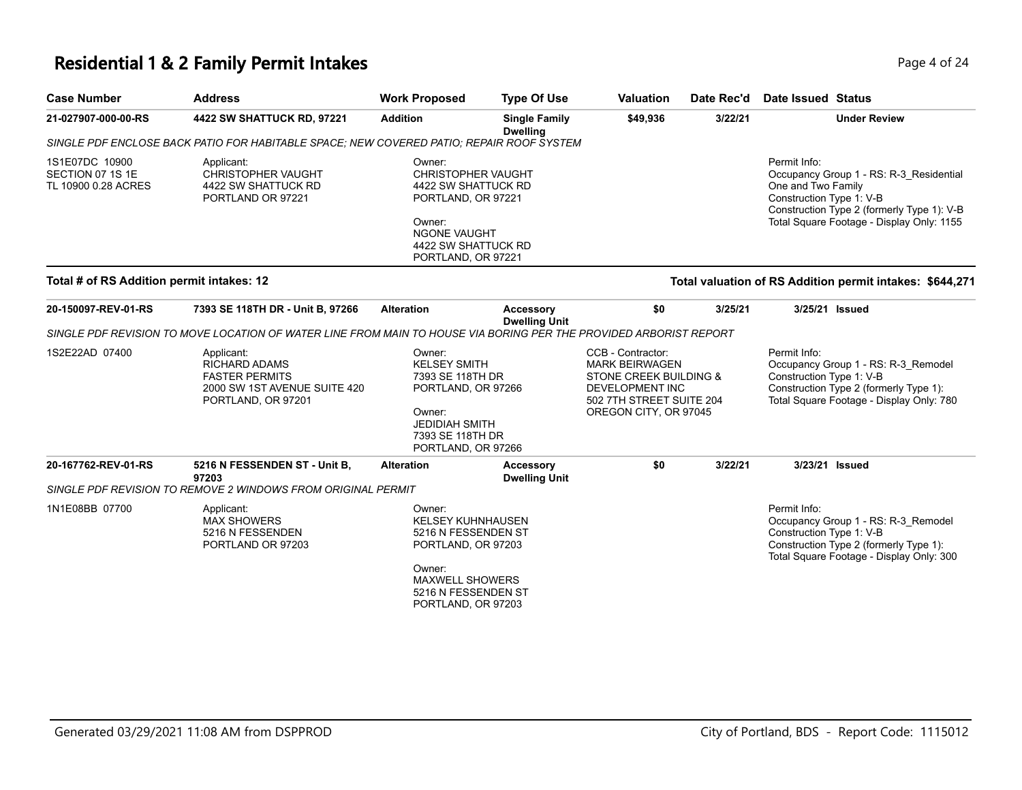# **Residential 1 & 2 Family Permit Intakes Page 4 of 24**

| <b>Case Number</b>                                        | <b>Address</b>                                                                                                    | <b>Work Proposed</b>                                                                                                                                             | <b>Type Of Use</b>                       | <b>Valuation</b>                                                                                                                                        | Date Rec'd | Date Issued Status                                             |                                                                                                                                    |
|-----------------------------------------------------------|-------------------------------------------------------------------------------------------------------------------|------------------------------------------------------------------------------------------------------------------------------------------------------------------|------------------------------------------|---------------------------------------------------------------------------------------------------------------------------------------------------------|------------|----------------------------------------------------------------|------------------------------------------------------------------------------------------------------------------------------------|
| 21-027907-000-00-RS                                       | 4422 SW SHATTUCK RD, 97221                                                                                        | <b>Addition</b>                                                                                                                                                  | <b>Single Family</b><br><b>Dwelling</b>  | \$49,936                                                                                                                                                | 3/22/21    |                                                                | <b>Under Review</b>                                                                                                                |
|                                                           | SINGLE PDF ENCLOSE BACK PATIO FOR HABITABLE SPACE; NEW COVERED PATIO; REPAIR ROOF SYSTEM                          |                                                                                                                                                                  |                                          |                                                                                                                                                         |            |                                                                |                                                                                                                                    |
| 1S1E07DC 10900<br>SECTION 07 1S 1E<br>TL 10900 0.28 ACRES | Applicant:<br><b>CHRISTOPHER VAUGHT</b><br>4422 SW SHATTUCK RD<br>PORTLAND OR 97221                               | Owner:<br>CHRISTOPHER VAUGHT<br>4422 SW SHATTUCK RD<br>PORTLAND, OR 97221<br>Owner:<br><b>NGONE VAUGHT</b><br>4422 SW SHATTUCK RD<br>PORTLAND, OR 97221          |                                          |                                                                                                                                                         |            | Permit Info:<br>One and Two Family<br>Construction Type 1: V-B | Occupancy Group 1 - RS: R-3 Residential<br>Construction Type 2 (formerly Type 1): V-B<br>Total Square Footage - Display Only: 1155 |
| Total # of RS Addition permit intakes: 12                 |                                                                                                                   |                                                                                                                                                                  |                                          |                                                                                                                                                         |            |                                                                | Total valuation of RS Addition permit intakes: \$644,271                                                                           |
| 20-150097-REV-01-RS                                       | 7393 SE 118TH DR - Unit B, 97266                                                                                  | <b>Alteration</b>                                                                                                                                                | <b>Accessory</b><br><b>Dwelling Unit</b> | \$0                                                                                                                                                     | 3/25/21    | 3/25/21 Issued                                                 |                                                                                                                                    |
|                                                           | SINGLE PDF REVISION TO MOVE LOCATION OF WATER LINE FROM MAIN TO HOUSE VIA BORING PER THE PROVIDED ARBORIST REPORT |                                                                                                                                                                  |                                          |                                                                                                                                                         |            |                                                                |                                                                                                                                    |
| 1S2E22AD 07400                                            | Applicant:<br><b>RICHARD ADAMS</b><br><b>FASTER PERMITS</b><br>2000 SW 1ST AVENUE SUITE 420<br>PORTLAND, OR 97201 | Owner:<br><b>KELSEY SMITH</b><br>7393 SE 118TH DR<br>PORTLAND, OR 97266<br>Owner:<br><b>JEDIDIAH SMITH</b><br>7393 SE 118TH DR<br>PORTLAND, OR 97266             |                                          | CCB - Contractor:<br><b>MARK BEIRWAGEN</b><br><b>STONE CREEK BUILDING &amp;</b><br>DEVELOPMENT INC<br>502 7TH STREET SUITE 204<br>OREGON CITY, OR 97045 |            | Permit Info:<br>Construction Type 1: V-B                       | Occupancy Group 1 - RS: R-3_Remodel<br>Construction Type 2 (formerly Type 1):<br>Total Square Footage - Display Only: 780          |
| 20-167762-REV-01-RS                                       | 5216 N FESSENDEN ST - Unit B,<br>97203                                                                            | <b>Alteration</b>                                                                                                                                                | <b>Accessory</b><br><b>Dwelling Unit</b> | \$0                                                                                                                                                     | 3/22/21    | 3/23/21 Issued                                                 |                                                                                                                                    |
|                                                           | SINGLE PDF REVISION TO REMOVE 2 WINDOWS FROM ORIGINAL PERMIT                                                      |                                                                                                                                                                  |                                          |                                                                                                                                                         |            |                                                                |                                                                                                                                    |
| 1N1E08BB 07700                                            | Applicant:<br><b>MAX SHOWERS</b><br>5216 N FESSENDEN<br>PORTLAND OR 97203                                         | Owner:<br><b>KELSEY KUHNHAUSEN</b><br>5216 N FESSENDEN ST<br>PORTLAND, OR 97203<br>Owner:<br><b>MAXWELL SHOWERS</b><br>5216 N FESSENDEN ST<br>PORTLAND, OR 97203 |                                          |                                                                                                                                                         |            | Permit Info:<br>Construction Type 1: V-B                       | Occupancy Group 1 - RS: R-3_Remodel<br>Construction Type 2 (formerly Type 1):<br>Total Square Footage - Display Only: 300          |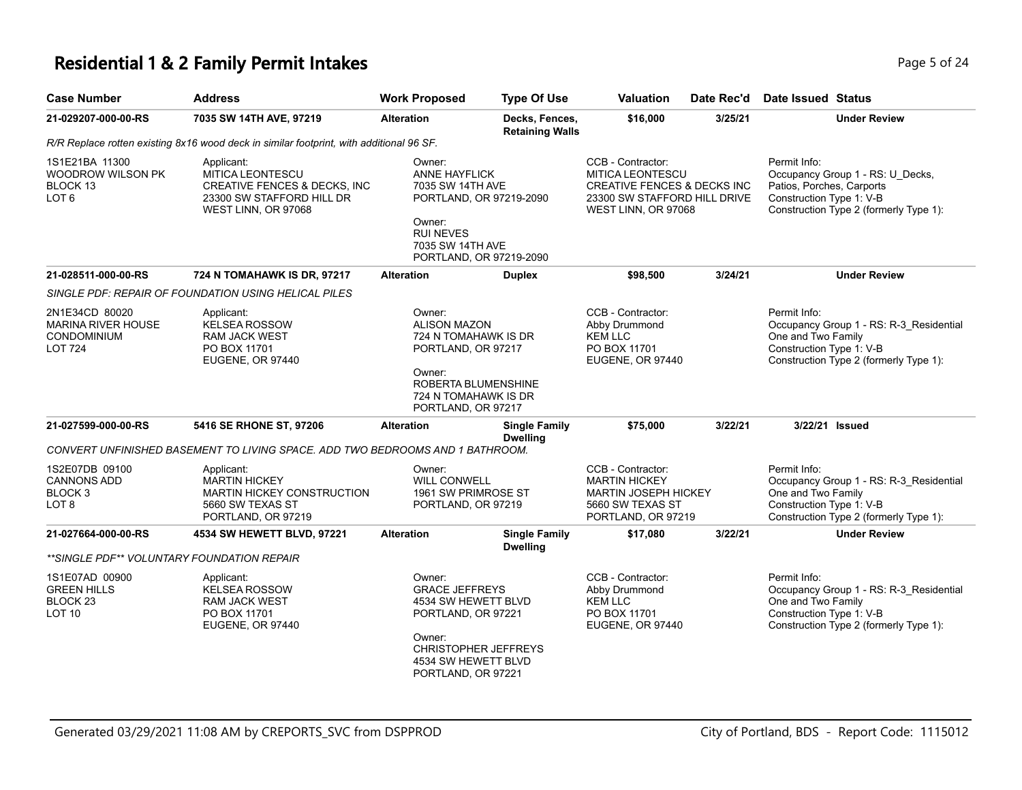#### **Residential 1 & 2 Family Permit Intakes Page 1 and 24 and 24 and 24 and 24 and 24 and 24 and 24 and 24 and 24 and 24 and 24 and 24 and 24 and 24 and 24 and 25 of 24 and 25 of 24 and 25 of 24 and 25 of 24 and 25 of 24 an**

| <b>Case Number</b>                                                                  | <b>Address</b>                                                                                                                 | <b>Work Proposed</b>                                                                                                                                               | <b>Type Of Use</b>                       | Valuation                                                                                                                                     | Date Rec'd | Date Issued Status                                                                                                                                  |  |
|-------------------------------------------------------------------------------------|--------------------------------------------------------------------------------------------------------------------------------|--------------------------------------------------------------------------------------------------------------------------------------------------------------------|------------------------------------------|-----------------------------------------------------------------------------------------------------------------------------------------------|------------|-----------------------------------------------------------------------------------------------------------------------------------------------------|--|
| 21-029207-000-00-RS                                                                 | 7035 SW 14TH AVE, 97219                                                                                                        | <b>Alteration</b>                                                                                                                                                  | Decks, Fences,<br><b>Retaining Walls</b> | \$16,000                                                                                                                                      | 3/25/21    | <b>Under Review</b>                                                                                                                                 |  |
|                                                                                     | R/R Replace rotten existing 8x16 wood deck in similar footprint, with additional 96 SF.                                        |                                                                                                                                                                    |                                          |                                                                                                                                               |            |                                                                                                                                                     |  |
| 1S1E21BA 11300<br>WOODROW WILSON PK<br>BLOCK 13<br>LOT <sub>6</sub>                 | Applicant:<br>MITICA LEONTESCU<br><b>CREATIVE FENCES &amp; DECKS, INC.</b><br>23300 SW STAFFORD HILL DR<br>WEST LINN, OR 97068 | Owner:<br><b>ANNE HAYFLICK</b><br>7035 SW 14TH AVE<br>PORTLAND, OR 97219-2090<br>Owner:<br><b>RUI NEVES</b><br>7035 SW 14TH AVE<br>PORTLAND, OR 97219-2090         |                                          | CCB - Contractor:<br><b>MITICA LEONTESCU</b><br><b>CREATIVE FENCES &amp; DECKS INC</b><br>23300 SW STAFFORD HILL DRIVE<br>WEST LINN, OR 97068 |            | Permit Info:<br>Occupancy Group 1 - RS: U_Decks,<br>Patios, Porches, Carports<br>Construction Type 1: V-B<br>Construction Type 2 (formerly Type 1): |  |
| 21-028511-000-00-RS                                                                 | 724 N TOMAHAWK IS DR, 97217                                                                                                    | <b>Alteration</b>                                                                                                                                                  | <b>Duplex</b>                            | \$98,500                                                                                                                                      | 3/24/21    | <b>Under Review</b>                                                                                                                                 |  |
|                                                                                     | SINGLE PDF: REPAIR OF FOUNDATION USING HELICAL PILES                                                                           |                                                                                                                                                                    |                                          |                                                                                                                                               |            |                                                                                                                                                     |  |
| 2N1E34CD 80020<br><b>MARINA RIVER HOUSE</b><br><b>CONDOMINIUM</b><br><b>LOT 724</b> | Applicant:<br><b>KELSEA ROSSOW</b><br><b>RAM JACK WEST</b><br>PO BOX 11701<br>EUGENE, OR 97440                                 | Owner:<br><b>ALISON MAZON</b><br>724 N TOMAHAWK IS DR<br>PORTLAND, OR 97217<br>Owner:<br>ROBERTA BLUMENSHINE<br>724 N TOMAHAWK IS DR<br>PORTLAND, OR 97217         |                                          | CCB - Contractor:<br>Abby Drummond<br><b>KEM LLC</b><br>PO BOX 11701<br>EUGENE, OR 97440                                                      |            | Permit Info:<br>Occupancy Group 1 - RS: R-3_Residential<br>One and Two Family<br>Construction Type 1: V-B<br>Construction Type 2 (formerly Type 1): |  |
| 21-027599-000-00-RS                                                                 | 5416 SE RHONE ST, 97206                                                                                                        | <b>Alteration</b>                                                                                                                                                  | <b>Single Family</b><br><b>Dwelling</b>  | \$75,000                                                                                                                                      | 3/22/21    | 3/22/21 Issued                                                                                                                                      |  |
|                                                                                     | CONVERT UNFINISHED BASEMENT TO LIVING SPACE. ADD TWO BEDROOMS AND 1 BATHROOM.                                                  |                                                                                                                                                                    |                                          |                                                                                                                                               |            |                                                                                                                                                     |  |
| 1S2E07DB 09100<br><b>CANNONS ADD</b><br>BLOCK 3<br>LOT 8                            | Applicant:<br><b>MARTIN HICKEY</b><br>MARTIN HICKEY CONSTRUCTION<br>5660 SW TEXAS ST<br>PORTLAND, OR 97219                     | Owner:<br><b>WILL CONWELL</b><br>1961 SW PRIMROSE ST<br>PORTLAND, OR 97219                                                                                         |                                          | CCB - Contractor:<br><b>MARTIN HICKEY</b><br><b>MARTIN JOSEPH HICKEY</b><br>5660 SW TEXAS ST<br>PORTLAND, OR 97219                            |            | Permit Info:<br>Occupancy Group 1 - RS: R-3_Residential<br>One and Two Family<br>Construction Type 1: V-B<br>Construction Type 2 (formerly Type 1): |  |
| 21-027664-000-00-RS                                                                 | 4534 SW HEWETT BLVD, 97221                                                                                                     | <b>Alteration</b>                                                                                                                                                  | <b>Single Family</b><br><b>Dwelling</b>  | \$17,080                                                                                                                                      | 3/22/21    | <b>Under Review</b>                                                                                                                                 |  |
| **SINGLE PDF** VOLUNTARY FOUNDATION REPAIR                                          |                                                                                                                                |                                                                                                                                                                    |                                          |                                                                                                                                               |            |                                                                                                                                                     |  |
| 1S1E07AD 00900<br><b>GREEN HILLS</b><br>BLOCK <sub>23</sub><br><b>LOT 10</b>        | Applicant:<br><b>KELSEA ROSSOW</b><br>RAM JACK WEST<br>PO BOX 11701<br>EUGENE, OR 97440                                        | Owner:<br><b>GRACE JEFFREYS</b><br>4534 SW HEWETT BLVD<br>PORTLAND, OR 97221<br>Owner:<br><b>CHRISTOPHER JEFFREYS</b><br>4534 SW HEWETT BLVD<br>PORTLAND, OR 97221 |                                          | CCB - Contractor:<br>Abby Drummond<br><b>KEM LLC</b><br>PO BOX 11701<br>EUGENE, OR 97440                                                      |            | Permit Info:<br>Occupancy Group 1 - RS: R-3_Residential<br>One and Two Family<br>Construction Type 1: V-B<br>Construction Type 2 (formerly Type 1): |  |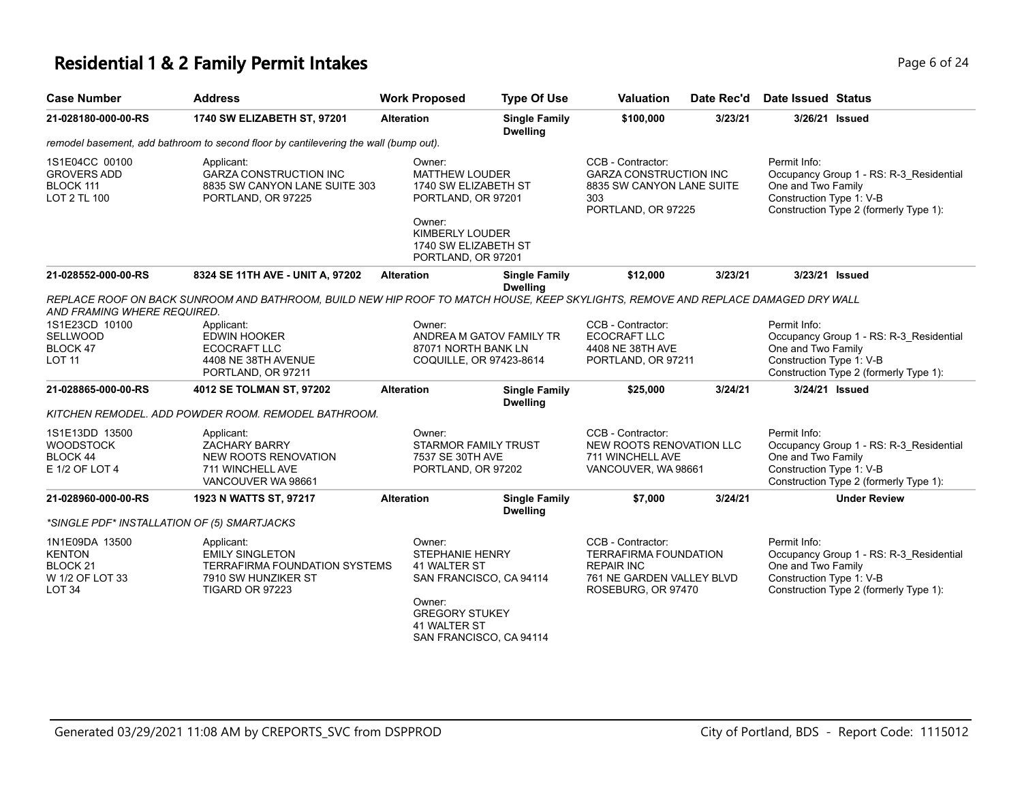### **Residential 1 & 2 Family Permit Intakes Page 1 and 24 and 24 and 24 and 24 and 24 and 24 and 24 and 24 and 24 and 24**

| <b>Case Number</b>                                                                  | <b>Address</b>                                                                                                                    | <b>Work Proposed</b>                                                                                                                                      | <b>Type Of Use</b>                      | <b>Valuation</b>                                                                                                          | Date Rec'd | Date Issued Status                                                                                                                                  |
|-------------------------------------------------------------------------------------|-----------------------------------------------------------------------------------------------------------------------------------|-----------------------------------------------------------------------------------------------------------------------------------------------------------|-----------------------------------------|---------------------------------------------------------------------------------------------------------------------------|------------|-----------------------------------------------------------------------------------------------------------------------------------------------------|
| 21-028180-000-00-RS                                                                 | 1740 SW ELIZABETH ST, 97201                                                                                                       | <b>Alteration</b>                                                                                                                                         | <b>Single Family</b><br><b>Dwelling</b> | \$100,000                                                                                                                 | 3/23/21    | 3/26/21 Issued                                                                                                                                      |
|                                                                                     | remodel basement, add bathroom to second floor by cantilevering the wall (bump out).                                              |                                                                                                                                                           |                                         |                                                                                                                           |            |                                                                                                                                                     |
| 1S1E04CC 00100<br><b>GROVERS ADD</b><br>BLOCK 111<br>LOT 2 TL 100                   | Applicant:<br><b>GARZA CONSTRUCTION INC</b><br>8835 SW CANYON LANE SUITE 303<br>PORTLAND, OR 97225                                | Owner:<br><b>MATTHEW LOUDER</b><br>1740 SW ELIZABETH ST<br>PORTLAND, OR 97201<br>Owner:<br>KIMBERLY LOUDER<br>1740 SW ELIZABETH ST<br>PORTLAND, OR 97201  |                                         | CCB - Contractor:<br><b>GARZA CONSTRUCTION INC</b><br>8835 SW CANYON LANE SUITE<br>303<br>PORTLAND, OR 97225              |            | Permit Info:<br>Occupancy Group 1 - RS: R-3 Residential<br>One and Two Family<br>Construction Type 1: V-B<br>Construction Type 2 (formerly Type 1): |
| 21-028552-000-00-RS                                                                 | 8324 SE 11TH AVE - UNIT A, 97202                                                                                                  | <b>Alteration</b>                                                                                                                                         | <b>Single Family</b>                    | \$12,000                                                                                                                  | 3/23/21    | 3/23/21 Issued                                                                                                                                      |
| AND FRAMING WHERE REQUIRED.                                                         | REPLACE ROOF ON BACK SUNROOM AND BATHROOM, BUILD NEW HIP ROOF TO MATCH HOUSE, KEEP SKYLIGHTS, REMOVE AND REPLACE DAMAGED DRY WALL |                                                                                                                                                           | <b>Dwelling</b>                         |                                                                                                                           |            |                                                                                                                                                     |
| 1S1E23CD 10100<br>SELLWOOD<br>BLOCK 47<br><b>LOT 11</b>                             | Applicant:<br><b>EDWIN HOOKER</b><br>ECOCRAFT LLC<br>4408 NE 38TH AVENUE<br>PORTLAND, OR 97211                                    | Owner:<br>ANDREA M GATOV FAMILY TR<br>87071 NORTH BANK LN<br>COQUILLE, OR 97423-8614                                                                      |                                         | CCB - Contractor:<br><b>ECOCRAFT LLC</b><br>4408 NE 38TH AVE<br>PORTLAND, OR 97211                                        |            | Permit Info:<br>Occupancy Group 1 - RS: R-3_Residential<br>One and Two Family<br>Construction Type 1: V-B<br>Construction Type 2 (formerly Type 1): |
| 21-028865-000-00-RS                                                                 | 4012 SE TOLMAN ST, 97202                                                                                                          | <b>Alteration</b>                                                                                                                                         | <b>Single Family</b><br><b>Dwelling</b> | \$25,000                                                                                                                  | 3/24/21    | 3/24/21 Issued                                                                                                                                      |
|                                                                                     | KITCHEN REMODEL. ADD POWDER ROOM. REMODEL BATHROOM.                                                                               |                                                                                                                                                           |                                         |                                                                                                                           |            |                                                                                                                                                     |
| 1S1E13DD 13500<br><b>WOODSTOCK</b><br>BLOCK 44<br>E 1/2 OF LOT 4                    | Applicant:<br><b>ZACHARY BARRY</b><br><b>NEW ROOTS RENOVATION</b><br>711 WINCHELL AVE<br>VANCOUVER WA 98661                       | Owner:<br><b>STARMOR FAMILY TRUST</b><br>7537 SE 30TH AVE<br>PORTLAND, OR 97202                                                                           |                                         | CCB - Contractor:<br>NEW ROOTS RENOVATION LLC<br>711 WINCHELL AVE<br>VANCOUVER, WA 98661                                  |            | Permit Info:<br>Occupancy Group 1 - RS: R-3_Residential<br>One and Two Family<br>Construction Type 1: V-B<br>Construction Type 2 (formerly Type 1): |
| 21-028960-000-00-RS                                                                 | 1923 N WATTS ST, 97217                                                                                                            | <b>Alteration</b>                                                                                                                                         | <b>Single Family</b><br><b>Dwelling</b> | \$7,000                                                                                                                   | 3/24/21    | <b>Under Review</b>                                                                                                                                 |
| *SINGLE PDF* INSTALLATION OF (5) SMARTJACKS                                         |                                                                                                                                   |                                                                                                                                                           |                                         |                                                                                                                           |            |                                                                                                                                                     |
| 1N1E09DA 13500<br><b>KENTON</b><br>BLOCK <sub>21</sub><br>W 1/2 OF LOT 33<br>LOT 34 | Applicant:<br><b>EMILY SINGLETON</b><br>TERRAFIRMA FOUNDATION SYSTEMS<br>7910 SW HUNZIKER ST<br>TIGARD OR 97223                   | Owner:<br><b>STEPHANIE HENRY</b><br>41 WALTER ST<br>SAN FRANCISCO, CA 94114<br>Owner:<br><b>GREGORY STUKEY</b><br>41 WALTER ST<br>SAN FRANCISCO, CA 94114 |                                         | CCB - Contractor:<br><b>TERRAFIRMA FOUNDATION</b><br><b>REPAIR INC</b><br>761 NE GARDEN VALLEY BLVD<br>ROSEBURG, OR 97470 |            | Permit Info:<br>Occupancy Group 1 - RS: R-3 Residential<br>One and Two Family<br>Construction Type 1: V-B<br>Construction Type 2 (formerly Type 1): |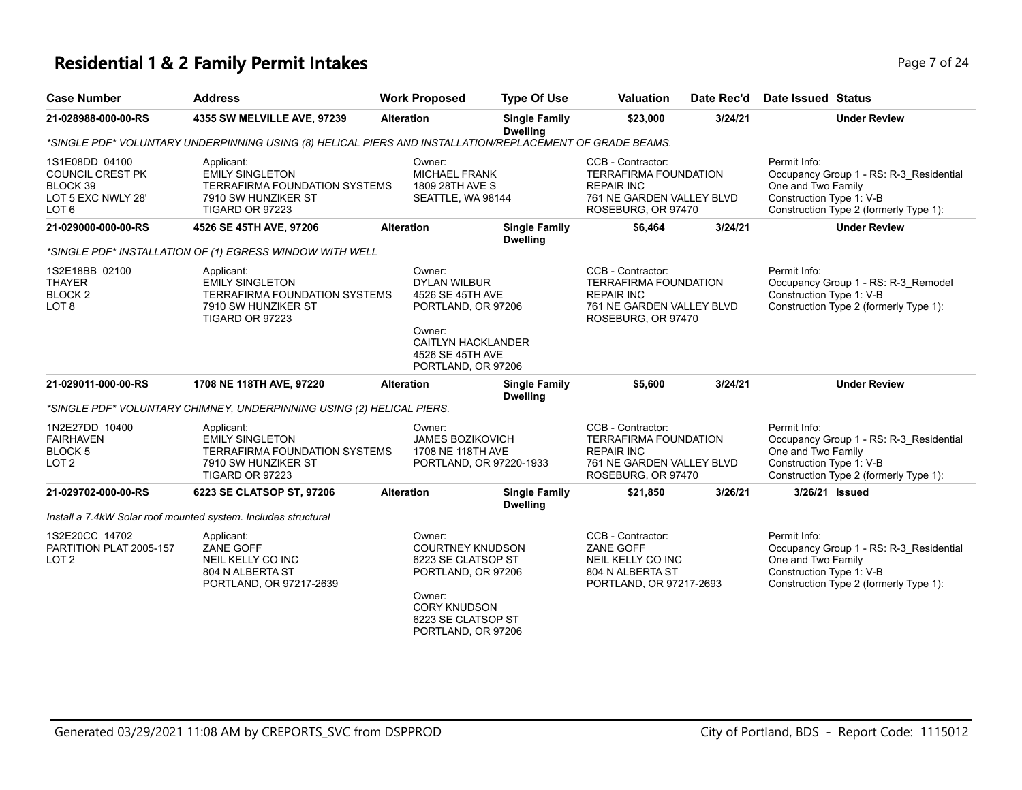### **Residential 1 & 2 Family Permit Intakes Page 7 of 24 Page 7 of 24**

| <b>Case Number</b>                                                                   | <b>Address</b>                                                                                                         | <b>Work Proposed</b>                                                                                                                                       | <b>Type Of Use</b>                      | <b>Valuation</b>                                                                                                          | Date Rec'd | <b>Date Issued Status</b>                                                                                                                           |
|--------------------------------------------------------------------------------------|------------------------------------------------------------------------------------------------------------------------|------------------------------------------------------------------------------------------------------------------------------------------------------------|-----------------------------------------|---------------------------------------------------------------------------------------------------------------------------|------------|-----------------------------------------------------------------------------------------------------------------------------------------------------|
| 21-028988-000-00-RS                                                                  | 4355 SW MELVILLE AVE, 97239                                                                                            | <b>Alteration</b>                                                                                                                                          | <b>Single Family</b><br><b>Dwelling</b> | \$23,000                                                                                                                  | 3/24/21    | <b>Under Review</b>                                                                                                                                 |
|                                                                                      | *SINGLE PDF* VOLUNTARY UNDERPINNING USING (8) HELICAL PIERS AND INSTALLATION/REPLACEMENT OF GRADE BEAMS.               |                                                                                                                                                            |                                         |                                                                                                                           |            |                                                                                                                                                     |
| 1S1E08DD 04100<br><b>COUNCIL CREST PK</b><br>BLOCK 39<br>LOT 5 EXC NWLY 28'<br>LOT 6 | Applicant:<br><b>EMILY SINGLETON</b><br><b>TERRAFIRMA FOUNDATION SYSTEMS</b><br>7910 SW HUNZIKER ST<br>TIGARD OR 97223 | Owner:<br><b>MICHAEL FRANK</b><br>1809 28TH AVE S<br>SEATTLE, WA 98144                                                                                     |                                         | CCB - Contractor:<br><b>TERRAFIRMA FOUNDATION</b><br><b>REPAIR INC</b><br>761 NE GARDEN VALLEY BLVD<br>ROSEBURG, OR 97470 |            | Permit Info:<br>Occupancy Group 1 - RS: R-3_Residential<br>One and Two Family<br>Construction Type 1: V-B<br>Construction Type 2 (formerly Type 1): |
| 21-029000-000-00-RS                                                                  | 4526 SE 45TH AVE, 97206                                                                                                | <b>Alteration</b>                                                                                                                                          | <b>Single Family</b>                    | \$6,464                                                                                                                   | 3/24/21    | <b>Under Review</b>                                                                                                                                 |
|                                                                                      | *SINGLE PDF* INSTALLATION OF (1) EGRESS WINDOW WITH WELL                                                               |                                                                                                                                                            | <b>Dwelling</b>                         |                                                                                                                           |            |                                                                                                                                                     |
| 1S2E18BB 02100<br><b>THAYER</b><br>BLOCK <sub>2</sub><br>LOT <sub>8</sub>            | Applicant:<br><b>EMILY SINGLETON</b><br>TERRAFIRMA FOUNDATION SYSTEMS<br>7910 SW HUNZIKER ST<br>TIGARD OR 97223        | Owner:<br><b>DYLAN WILBUR</b><br>4526 SE 45TH AVE<br>PORTLAND, OR 97206                                                                                    |                                         | CCB - Contractor:<br><b>TERRAFIRMA FOUNDATION</b><br><b>REPAIR INC</b><br>761 NE GARDEN VALLEY BLVD<br>ROSEBURG, OR 97470 |            | Permit Info:<br>Occupancy Group 1 - RS: R-3_Remodel<br>Construction Type 1: V-B<br>Construction Type 2 (formerly Type 1):                           |
|                                                                                      |                                                                                                                        | Owner:<br><b>CAITLYN HACKLANDER</b><br>4526 SE 45TH AVE<br>PORTLAND, OR 97206                                                                              |                                         |                                                                                                                           |            |                                                                                                                                                     |
| 21-029011-000-00-RS                                                                  | 1708 NE 118TH AVE, 97220                                                                                               | <b>Alteration</b>                                                                                                                                          | <b>Single Family</b><br><b>Dwelling</b> | \$5,600                                                                                                                   | 3/24/21    | <b>Under Review</b>                                                                                                                                 |
|                                                                                      | *SINGLE PDF* VOLUNTARY CHIMNEY, UNDERPINNING USING (2) HELICAL PIERS.                                                  |                                                                                                                                                            |                                         |                                                                                                                           |            |                                                                                                                                                     |
| 1N2E27DD 10400<br><b>FAIRHAVEN</b><br>BLOCK <sub>5</sub><br>LOT <sub>2</sub>         | Applicant:<br><b>EMILY SINGLETON</b><br><b>TERRAFIRMA FOUNDATION SYSTEMS</b><br>7910 SW HUNZIKER ST<br>TIGARD OR 97223 | Owner:<br><b>JAMES BOZIKOVICH</b><br>1708 NE 118TH AVE<br>PORTLAND, OR 97220-1933                                                                          |                                         | CCB - Contractor:<br><b>TERRAFIRMA FOUNDATION</b><br><b>REPAIR INC</b><br>761 NE GARDEN VALLEY BLVD<br>ROSEBURG, OR 97470 |            | Permit Info:<br>Occupancy Group 1 - RS: R-3 Residential<br>One and Two Family<br>Construction Type 1: V-B<br>Construction Type 2 (formerly Type 1): |
| 21-029702-000-00-RS                                                                  | 6223 SE CLATSOP ST, 97206                                                                                              | <b>Alteration</b>                                                                                                                                          | <b>Single Family</b>                    | \$21,850                                                                                                                  | 3/26/21    | 3/26/21 Issued                                                                                                                                      |
|                                                                                      | Install a 7.4kW Solar roof mounted system. Includes structural                                                         |                                                                                                                                                            | <b>Dwelling</b>                         |                                                                                                                           |            |                                                                                                                                                     |
| 1S2E20CC 14702<br>PARTITION PLAT 2005-157<br>LOT <sub>2</sub>                        | Applicant:<br>ZANE GOFF<br>NEIL KELLY CO INC<br>804 N ALBERTA ST<br>PORTLAND, OR 97217-2639                            | Owner:<br><b>COURTNEY KNUDSON</b><br>6223 SE CLATSOP ST<br>PORTLAND, OR 97206<br>Owner:<br><b>CORY KNUDSON</b><br>6223 SE CLATSOP ST<br>PORTLAND, OR 97206 |                                         | CCB - Contractor:<br>ZANE GOFF<br>NEIL KELLY CO INC<br>804 N ALBERTA ST<br>PORTLAND, OR 97217-2693                        |            | Permit Info:<br>Occupancy Group 1 - RS: R-3_Residential<br>One and Two Family<br>Construction Type 1: V-B<br>Construction Type 2 (formerly Type 1): |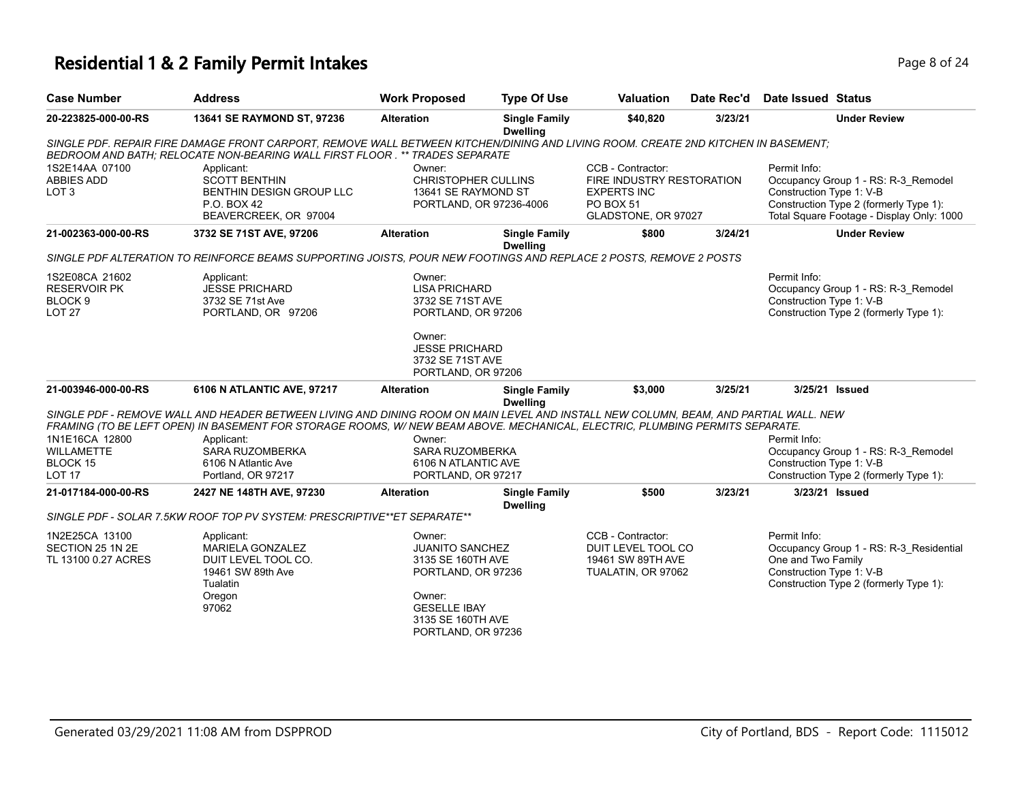# **Residential 1 & 2 Family Permit Intakes Page 1 and Security Page 8 of 24**

| <b>Case Number</b>                                                               | <b>Address</b>                                                                                                                                                                                                   | <b>Work Proposed</b>                                                                                                                                    | <b>Type Of Use</b>                      | <b>Valuation</b>                                                                                         | Date Rec'd | Date Issued Status                                                                                                                                                     |
|----------------------------------------------------------------------------------|------------------------------------------------------------------------------------------------------------------------------------------------------------------------------------------------------------------|---------------------------------------------------------------------------------------------------------------------------------------------------------|-----------------------------------------|----------------------------------------------------------------------------------------------------------|------------|------------------------------------------------------------------------------------------------------------------------------------------------------------------------|
| 20-223825-000-00-RS                                                              | 13641 SE RAYMOND ST, 97236                                                                                                                                                                                       | <b>Alteration</b>                                                                                                                                       | <b>Single Family</b><br><b>Dwelling</b> | \$40,820                                                                                                 | 3/23/21    | <b>Under Review</b>                                                                                                                                                    |
|                                                                                  | SINGLE PDF. REPAIR FIRE DAMAGE FRONT CARPORT. REMOVE WALL BETWEEN KITCHEN/DINING AND LIVING ROOM. CREATE 2ND KITCHEN IN BASEMENT:<br>BEDROOM AND BATH: RELOCATE NON-BEARING WALL FIRST FLOOR .** TRADES SEPARATE |                                                                                                                                                         |                                         |                                                                                                          |            |                                                                                                                                                                        |
| 1S2E14AA 07100<br><b>ABBIES ADD</b><br>LOT <sub>3</sub>                          | Applicant:<br><b>SCOTT BENTHIN</b><br>BENTHIN DESIGN GROUP LLC<br>P.O. BOX 42<br>BEAVERCREEK, OR 97004                                                                                                           | Owner:<br>CHRISTOPHER CULLINS<br>13641 SE RAYMOND ST<br>PORTLAND, OR 97236-4006                                                                         |                                         | CCB - Contractor:<br>FIRE INDUSTRY RESTORATION<br><b>EXPERTS INC</b><br>PO BOX 51<br>GLADSTONE, OR 97027 |            | Permit Info:<br>Occupancy Group 1 - RS: R-3_Remodel<br>Construction Type 1: V-B<br>Construction Type 2 (formerly Type 1):<br>Total Square Footage - Display Only: 1000 |
| 21-002363-000-00-RS                                                              | 3732 SE 71ST AVE, 97206                                                                                                                                                                                          | <b>Alteration</b>                                                                                                                                       | <b>Single Family</b><br><b>Dwelling</b> | \$800                                                                                                    | 3/24/21    | <b>Under Review</b>                                                                                                                                                    |
|                                                                                  | SINGLE PDF ALTERATION TO REINFORCE BEAMS SUPPORTING JOISTS, POUR NEW FOOTINGS AND REPLACE 2 POSTS, REMOVE 2 POSTS                                                                                                |                                                                                                                                                         |                                         |                                                                                                          |            |                                                                                                                                                                        |
| 1S2E08CA 21602<br><b>RESERVOIR PK</b><br>BLOCK <sub>9</sub><br>LOT <sub>27</sub> | Applicant:<br><b>JESSE PRICHARD</b><br>3732 SE 71st Ave<br>PORTLAND, OR 97206                                                                                                                                    | Owner:<br><b>LISA PRICHARD</b><br>3732 SE 71ST AVE<br>PORTLAND, OR 97206<br>Owner:<br><b>JESSE PRICHARD</b><br>3732 SE 71ST AVE                         |                                         |                                                                                                          |            | Permit Info:<br>Occupancy Group 1 - RS: R-3_Remodel<br>Construction Type 1: V-B<br>Construction Type 2 (formerly Type 1):                                              |
| 21-003946-000-00-RS                                                              | 6106 N ATLANTIC AVE, 97217                                                                                                                                                                                       | PORTLAND, OR 97206<br><b>Alteration</b>                                                                                                                 | <b>Single Family</b>                    | \$3,000                                                                                                  | 3/25/21    | 3/25/21 Issued                                                                                                                                                         |
|                                                                                  | SINGLE PDF - REMOVE WALL AND HEADER BETWEEN LIVING AND DINING ROOM ON MAIN LEVEL AND INSTALL NEW COLUMN, BEAM, AND PARTIAL WALL. NEW                                                                             |                                                                                                                                                         | <b>Dwelling</b>                         |                                                                                                          |            |                                                                                                                                                                        |
| 1N1E16CA 12800<br><b>WILLAMETTE</b><br>BLOCK 15<br>LOT <sub>17</sub>             | FRAMING (TO BE LEFT OPEN) IN BASEMENT FOR STORAGE ROOMS, W/NEW BEAM ABOVE. MECHANICAL, ELECTRIC, PLUMBING PERMITS SEPARATE.<br>Applicant:<br>SARA RUZOMBERKA<br>6106 N Atlantic Ave<br>Portland, OR 97217        | Owner:<br>SARA RUZOMBERKA<br>6106 N ATLANTIC AVE<br>PORTLAND, OR 97217                                                                                  |                                         |                                                                                                          |            | Permit Info:<br>Occupancy Group 1 - RS: R-3_Remodel<br>Construction Type 1: V-B<br>Construction Type 2 (formerly Type 1):                                              |
| 21-017184-000-00-RS                                                              | 2427 NE 148TH AVE, 97230                                                                                                                                                                                         | <b>Alteration</b>                                                                                                                                       | <b>Single Family</b>                    | \$500                                                                                                    | 3/23/21    | 3/23/21 Issued                                                                                                                                                         |
|                                                                                  |                                                                                                                                                                                                                  |                                                                                                                                                         | <b>Dwelling</b>                         |                                                                                                          |            |                                                                                                                                                                        |
|                                                                                  | SINGLE PDF - SOLAR 7.5KW ROOF TOP PV SYSTEM: PRESCRIPTIVE**ET SEPARATE**                                                                                                                                         |                                                                                                                                                         |                                         |                                                                                                          |            |                                                                                                                                                                        |
| 1N2E25CA 13100<br>SECTION 25 1N 2E<br>TL 13100 0.27 ACRES                        | Applicant:<br><b>MARIELA GONZALEZ</b><br>DUIT LEVEL TOOL CO.<br>19461 SW 89th Ave<br>Tualatin<br>Oregon<br>97062                                                                                                 | Owner:<br><b>JUANITO SANCHEZ</b><br>3135 SE 160TH AVE<br>PORTLAND, OR 97236<br>Owner:<br><b>GESELLE IBAY</b><br>3135 SE 160TH AVE<br>PORTLAND, OR 97236 |                                         | CCB - Contractor:<br>DUIT LEVEL TOOL CO<br>19461 SW 89TH AVE<br>TUALATIN, OR 97062                       |            | Permit Info:<br>Occupancy Group 1 - RS: R-3 Residential<br>One and Two Family<br>Construction Type 1: V-B<br>Construction Type 2 (formerly Type 1):                    |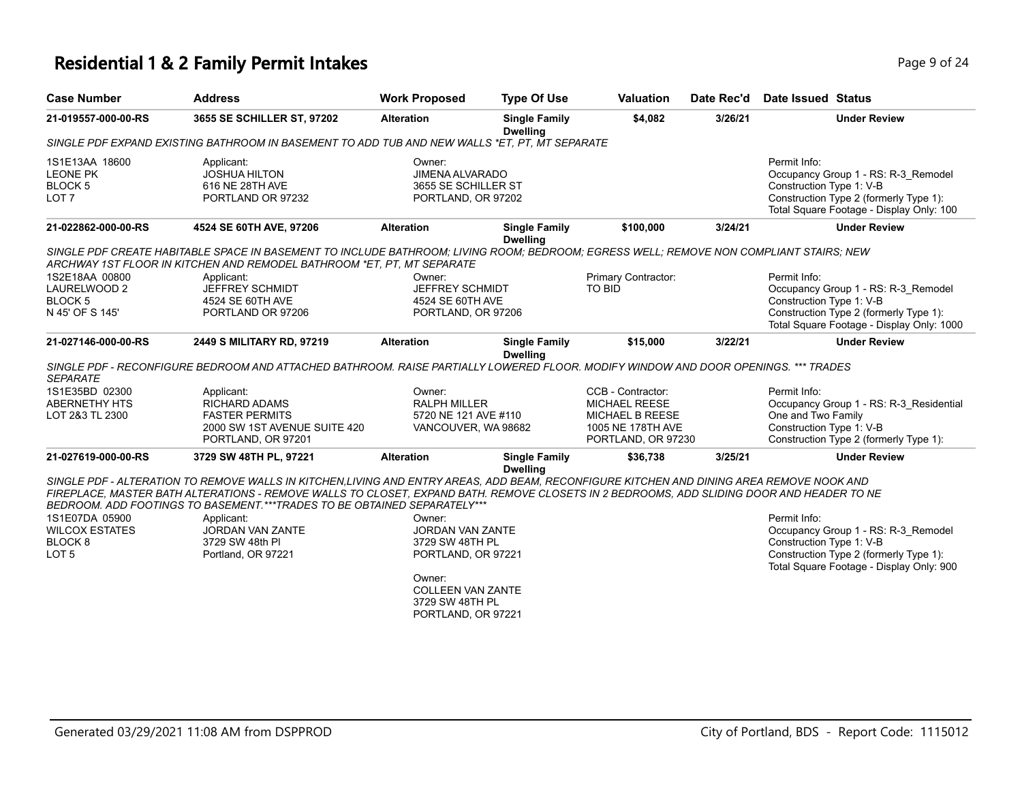# **Residential 1 & 2 Family Permit Intakes Page 1 and Security Page 9 of 24**

| <b>Case Number</b>                                                                | <b>Address</b>                                                                                                                                                                                                                                                                                                                                                                                                                                  | <b>Work Proposed</b>                                                                                                                               | <b>Type Of Use</b>                      | <b>Valuation</b>                                                                                        | Date Rec'd | Date Issued Status                                                                                                                                                     |
|-----------------------------------------------------------------------------------|-------------------------------------------------------------------------------------------------------------------------------------------------------------------------------------------------------------------------------------------------------------------------------------------------------------------------------------------------------------------------------------------------------------------------------------------------|----------------------------------------------------------------------------------------------------------------------------------------------------|-----------------------------------------|---------------------------------------------------------------------------------------------------------|------------|------------------------------------------------------------------------------------------------------------------------------------------------------------------------|
| 21-019557-000-00-RS                                                               | 3655 SE SCHILLER ST, 97202                                                                                                                                                                                                                                                                                                                                                                                                                      | <b>Alteration</b>                                                                                                                                  | <b>Single Family</b><br><b>Dwelling</b> | \$4,082                                                                                                 | 3/26/21    | <b>Under Review</b>                                                                                                                                                    |
|                                                                                   | SINGLE PDF EXPAND EXISTING BATHROOM IN BASEMENT TO ADD TUB AND NEW WALLS *ET. PT. MT SEPARATE                                                                                                                                                                                                                                                                                                                                                   |                                                                                                                                                    |                                         |                                                                                                         |            |                                                                                                                                                                        |
| 1S1E13AA 18600<br><b>LEONE PK</b><br>BLOCK <sub>5</sub><br>LOT <sub>7</sub>       | Applicant:<br><b>JOSHUA HILTON</b><br>616 NE 28TH AVE<br>PORTLAND OR 97232                                                                                                                                                                                                                                                                                                                                                                      | Owner:<br><b>JIMENA ALVARADO</b><br>3655 SE SCHILLER ST<br>PORTLAND, OR 97202                                                                      |                                         |                                                                                                         |            | Permit Info:<br>Occupancy Group 1 - RS: R-3_Remodel<br>Construction Type 1: V-B<br>Construction Type 2 (formerly Type 1):<br>Total Square Footage - Display Only: 100  |
| 21-022862-000-00-RS                                                               | 4524 SE 60TH AVE, 97206                                                                                                                                                                                                                                                                                                                                                                                                                         | <b>Alteration</b>                                                                                                                                  | <b>Single Family</b>                    | \$100,000                                                                                               | 3/24/21    | <b>Under Review</b>                                                                                                                                                    |
| 1S2E18AA 00800<br>LAURELWOOD 2<br>BLOCK <sub>5</sub><br>N 45' OF S 145'           | SINGLE PDF CREATE HABITABLE SPACE IN BASEMENT TO INCLUDE BATHROOM; LIVING ROOM; BEDROOM; EGRESS WELL; REMOVE NON COMPLIANT STAIRS; NEW<br>ARCHWAY 1ST FLOOR IN KITCHEN AND REMODEL BATHROOM *ET. PT. MT SEPARATE<br>Applicant:<br><b>JEFFREY SCHMIDT</b><br>4524 SE 60TH AVE<br>PORTLAND OR 97206                                                                                                                                               | Owner:<br>JEFFREY SCHMIDT<br>4524 SE 60TH AVE<br>PORTLAND, OR 97206                                                                                | <b>Dwelling</b>                         | Primary Contractor:<br>TO BID                                                                           |            | Permit Info:<br>Occupancy Group 1 - RS: R-3_Remodel<br>Construction Type 1: V-B<br>Construction Type 2 (formerly Type 1):<br>Total Square Footage - Display Only: 1000 |
| 21-027146-000-00-RS                                                               | 2449 S MILITARY RD, 97219                                                                                                                                                                                                                                                                                                                                                                                                                       | <b>Alteration</b>                                                                                                                                  | <b>Single Family</b>                    | \$15,000                                                                                                | 3/22/21    | <b>Under Review</b>                                                                                                                                                    |
| <b>SEPARATE</b><br>1S1E35BD 02300<br><b>ABERNETHY HTS</b><br>LOT 2&3 TL 2300      | SINGLE PDF - RECONFIGURE BEDROOM AND ATTACHED BATHROOM. RAISE PARTIALLY LOWERED FLOOR. MODIFY WINDOW AND DOOR OPENINGS. *** TRADES<br>Applicant:<br><b>RICHARD ADAMS</b><br><b>FASTER PERMITS</b><br>2000 SW 1ST AVENUE SUITE 420<br>PORTLAND, OR 97201                                                                                                                                                                                         | Owner:<br><b>RALPH MILLER</b><br>5720 NE 121 AVE #110<br>VANCOUVER, WA 98682                                                                       | <b>Dwelling</b>                         | CCB - Contractor:<br><b>MICHAEL REESE</b><br>MICHAEL B REESE<br>1005 NE 178TH AVE<br>PORTLAND, OR 97230 |            | Permit Info:<br>Occupancy Group 1 - RS: R-3 Residential<br>One and Two Family<br>Construction Type 1: V-B<br>Construction Type 2 (formerly Type 1):                    |
| 21-027619-000-00-RS                                                               | 3729 SW 48TH PL, 97221                                                                                                                                                                                                                                                                                                                                                                                                                          | <b>Alteration</b>                                                                                                                                  | <b>Single Family</b>                    | \$36,738                                                                                                | 3/25/21    | <b>Under Review</b>                                                                                                                                                    |
| 1S1E07DA 05900<br><b>WILCOX ESTATES</b><br>BLOCK <sub>8</sub><br>LOT <sub>5</sub> | SINGLE PDF - ALTERATION TO REMOVE WALLS IN KITCHEN,LIVING AND ENTRY AREAS, ADD BEAM, RECONFIGURE KITCHEN AND DINING AREA REMOVE NOOK AND<br>FIREPLACE, MASTER BATH ALTERATIONS - REMOVE WALLS TO CLOSET, EXPAND BATH. REMOVE CLOSETS IN 2 BEDROOMS, ADD SLIDING DOOR AND HEADER TO NE<br>BEDROOM. ADD FOOTINGS TO BASEMENT. *** TRADES TO BE OBTAINED SEPARATELY ***<br>Applicant:<br>JORDAN VAN ZANTE<br>3729 SW 48th PI<br>Portland, OR 97221 | Owner:<br>JORDAN VAN ZANTE<br>3729 SW 48TH PL<br>PORTLAND, OR 97221<br>Owner:<br><b>COLLEEN VAN ZANTE</b><br>3729 SW 48TH PL<br>PORTLAND, OR 97221 | <b>Dwelling</b>                         |                                                                                                         |            | Permit Info:<br>Occupancy Group 1 - RS: R-3 Remodel<br>Construction Type 1: V-B<br>Construction Type 2 (formerly Type 1):<br>Total Square Footage - Display Only: 900  |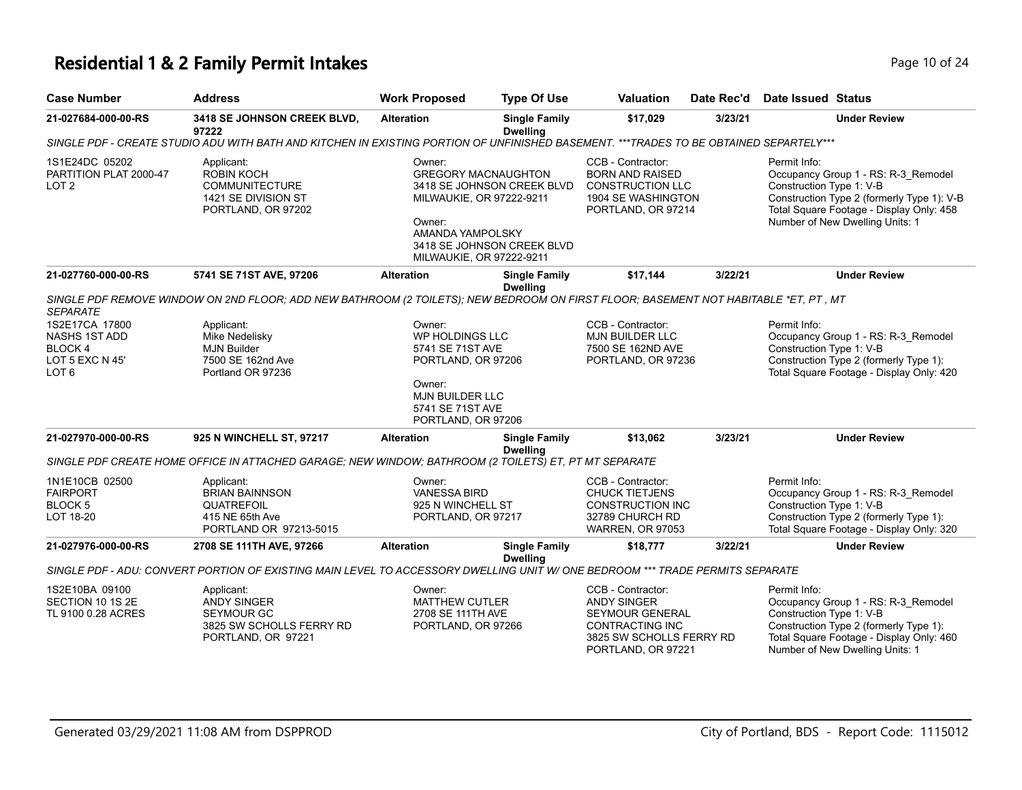# **Residential 1 & 2 Family Permit Intakes Page 10 of 24 Page 10 of 24**

| <b>Case Number</b>                                                                       | <b>Address</b>                                                                                                                         | <b>Work Proposed</b>                                                                                                                              | <b>Type Of Use</b>                                       | Valuation                                                                                                                              | Date Rec'd | <b>Date Issued Status</b>                |                                                                                                                                                                  |
|------------------------------------------------------------------------------------------|----------------------------------------------------------------------------------------------------------------------------------------|---------------------------------------------------------------------------------------------------------------------------------------------------|----------------------------------------------------------|----------------------------------------------------------------------------------------------------------------------------------------|------------|------------------------------------------|------------------------------------------------------------------------------------------------------------------------------------------------------------------|
| 21-027684-000-00-RS                                                                      | 3418 SE JOHNSON CREEK BLVD,<br>97222                                                                                                   | <b>Alteration</b>                                                                                                                                 | <b>Single Family</b><br><b>Dwelling</b>                  | \$17,029                                                                                                                               | 3/23/21    |                                          | <b>Under Review</b>                                                                                                                                              |
|                                                                                          | SINGLE PDF - CREATE STUDIO ADU WITH BATH AND KITCHEN IN EXISTING PORTION OF UNFINISHED BASEMENT. ***TRADES TO BE OBTAINED SEPARTELY*** |                                                                                                                                                   |                                                          |                                                                                                                                        |            |                                          |                                                                                                                                                                  |
| 1S1E24DC 05202<br>PARTITION PLAT 2000-47<br>LOT <sub>2</sub>                             | Applicant:<br>ROBIN KOCH<br><b>COMMUNITECTURE</b><br>1421 SE DIVISION ST<br>PORTLAND, OR 97202                                         | Owner:<br><b>GREGORY MACNAUGHTON</b><br>MILWAUKIE, OR 97222-9211<br>Owner:<br>AMANDA YAMPOLSKY<br>MILWAUKIE, OR 97222-9211                        | 3418 SE JOHNSON CREEK BLVD<br>3418 SE JOHNSON CREEK BLVD | CCB - Contractor:<br><b>BORN AND RAISED</b><br><b>CONSTRUCTION LLC</b><br>1904 SE WASHINGTON<br>PORTLAND, OR 97214                     |            | Permit Info:<br>Construction Type 1: V-B | Occupancy Group 1 - RS: R-3_Remodel<br>Construction Type 2 (formerly Type 1): V-B<br>Total Square Footage - Display Only: 458<br>Number of New Dwelling Units: 1 |
| 21-027760-000-00-RS                                                                      | 5741 SE 71ST AVE, 97206                                                                                                                | <b>Alteration</b>                                                                                                                                 | <b>Single Family</b><br><b>Dwelling</b>                  | \$17.144                                                                                                                               | 3/22/21    |                                          | <b>Under Review</b>                                                                                                                                              |
| <b>SEPARATE</b>                                                                          | SINGLE PDF REMOVE WINDOW ON 2ND FLOOR; ADD NEW BATHROOM (2 TOILETS); NEW BEDROOM ON FIRST FLOOR; BASEMENT NOT HABITABLE *ET, PT, MT    |                                                                                                                                                   |                                                          |                                                                                                                                        |            |                                          |                                                                                                                                                                  |
| 1S2E17CA 17800<br><b>NASHS 1ST ADD</b><br>BLOCK 4<br>LOT 5 EXC N 45'<br>LOT <sub>6</sub> | Applicant:<br>Mike Nedelisky<br><b>MJN Builder</b><br>7500 SE 162nd Ave<br>Portland OR 97236                                           | Owner:<br>WP HOLDINGS LLC<br>5741 SE 71ST AVE<br>PORTLAND, OR 97206<br>Owner:<br><b>MJN BUILDER LLC</b><br>5741 SE 71ST AVE<br>PORTLAND, OR 97206 |                                                          | CCB - Contractor:<br><b>MJN BUILDER LLC</b><br>7500 SE 162ND AVE<br>PORTLAND, OR 97236                                                 |            | Permit Info:<br>Construction Type 1: V-B | Occupancy Group 1 - RS: R-3_Remodel<br>Construction Type 2 (formerly Type 1):<br>Total Square Footage - Display Only: 420                                        |
| 21-027970-000-00-RS                                                                      | 925 N WINCHELL ST, 97217                                                                                                               | <b>Alteration</b>                                                                                                                                 | <b>Single Family</b><br><b>Dwelling</b>                  | \$13,062                                                                                                                               | 3/23/21    |                                          | <b>Under Review</b>                                                                                                                                              |
|                                                                                          | SINGLE PDF CREATE HOME OFFICE IN ATTACHED GARAGE; NEW WINDOW; BATHROOM (2 TOILETS) ET, PT MT SEPARATE                                  |                                                                                                                                                   |                                                          |                                                                                                                                        |            |                                          |                                                                                                                                                                  |
| 1N1E10CB 02500<br><b>FAIRPORT</b><br>BLOCK <sub>5</sub><br>LOT 18-20                     | Applicant:<br><b>BRIAN BAINNSON</b><br>QUATREFOIL<br>415 NE 65th Ave<br>PORTLAND OR 97213-5015                                         | Owner:<br><b>VANESSA BIRD</b><br>925 N WINCHELL ST<br>PORTLAND, OR 97217                                                                          |                                                          | CCB - Contractor:<br><b>CHUCK TIETJENS</b><br><b>CONSTRUCTION INC</b><br>32789 CHURCH RD<br><b>WARREN, OR 97053</b>                    |            | Permit Info:<br>Construction Type 1: V-B | Occupancy Group 1 - RS: R-3_Remodel<br>Construction Type 2 (formerly Type 1):<br>Total Square Footage - Display Only: 320                                        |
| 21-027976-000-00-RS                                                                      | 2708 SE 111TH AVE, 97266                                                                                                               | <b>Alteration</b>                                                                                                                                 | <b>Single Family</b><br><b>Dwelling</b>                  | \$18,777                                                                                                                               | 3/22/21    |                                          | <b>Under Review</b>                                                                                                                                              |
|                                                                                          | SINGLE PDF - ADU: CONVERT PORTION OF EXISTING MAIN LEVEL TO ACCESSORY DWELLING UNIT W/ ONE BEDROOM *** TRADE PERMITS SEPARATE          |                                                                                                                                                   |                                                          |                                                                                                                                        |            |                                          |                                                                                                                                                                  |
| 1S2E10BA 09100<br>SECTION 10 1S 2E<br>TL 9100 0.28 ACRES                                 | Applicant:<br>ANDY SINGER<br>SEYMOUR GC<br>3825 SW SCHOLLS FERRY RD<br>PORTLAND, OR 97221                                              | Owner:<br><b>MATTHEW CUTLER</b><br>2708 SE 111TH AVE<br>PORTLAND, OR 97266                                                                        |                                                          | CCB - Contractor:<br><b>ANDY SINGER</b><br>SEYMOUR GENERAL<br><b>CONTRACTING INC</b><br>3825 SW SCHOLLS FERRY RD<br>PORTLAND, OR 97221 |            | Permit Info:<br>Construction Type 1: V-B | Occupancy Group 1 - RS: R-3_Remodel<br>Construction Type 2 (formerly Type 1):<br>Total Square Footage - Display Only: 460<br>Number of New Dwelling Units: 1     |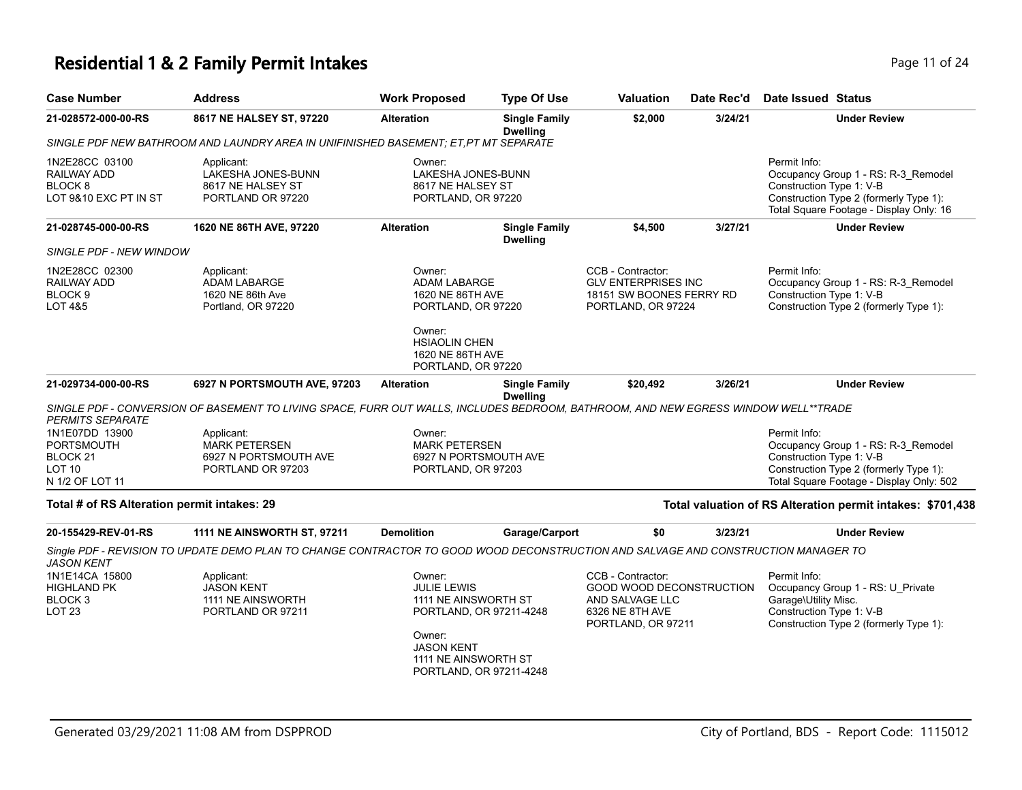# **Residential 1 & 2 Family Permit Intakes Page 11 of 24 Page 11 of 24**

| <b>Case Number</b>                                                               | <b>Address</b>                                                                                                                     | <b>Work Proposed</b>                                                                                        | <b>Type Of Use</b>                                 | Valuation                                                                                                 | Date Rec'd | <b>Date Issued Status</b>                                                                                                                                             |
|----------------------------------------------------------------------------------|------------------------------------------------------------------------------------------------------------------------------------|-------------------------------------------------------------------------------------------------------------|----------------------------------------------------|-----------------------------------------------------------------------------------------------------------|------------|-----------------------------------------------------------------------------------------------------------------------------------------------------------------------|
| 21-028572-000-00-RS                                                              | 8617 NE HALSEY ST, 97220                                                                                                           | <b>Alteration</b>                                                                                           | <b>Single Family</b><br><b>Dwelling</b>            | \$2,000                                                                                                   | 3/24/21    | <b>Under Review</b>                                                                                                                                                   |
|                                                                                  | SINGLE PDF NEW BATHROOM AND LAUNDRY AREA IN UNIFINISHED BASEMENT: ET.PT MT SEPARATE                                                |                                                                                                             |                                                    |                                                                                                           |            |                                                                                                                                                                       |
| 1N2E28CC 03100<br>RAILWAY ADD<br>BLOCK 8<br>LOT 9&10 EXC PT IN ST                | Applicant:<br>LAKESHA JONES-BUNN<br>8617 NE HALSEY ST<br>PORTLAND OR 97220                                                         | Owner:<br>LAKESHA JONES-BUNN<br>8617 NE HALSEY ST<br>PORTLAND, OR 97220                                     |                                                    |                                                                                                           |            | Permit Info:<br>Occupancy Group 1 - RS: R-3_Remodel<br>Construction Type 1: V-B<br>Construction Type 2 (formerly Type 1):<br>Total Square Footage - Display Only: 16  |
| 21-028745-000-00-RS                                                              | 1620 NE 86TH AVE, 97220                                                                                                            | <b>Alteration</b>                                                                                           | <b>Single Family</b><br><b>Dwelling</b>            | \$4,500                                                                                                   | 3/27/21    | <b>Under Review</b>                                                                                                                                                   |
| SINGLE PDF - NEW WINDOW                                                          |                                                                                                                                    |                                                                                                             |                                                    |                                                                                                           |            |                                                                                                                                                                       |
| 1N2E28CC 02300<br>RAILWAY ADD<br>BLOCK <sub>9</sub><br><b>LOT 4&amp;5</b>        | Applicant:<br><b>ADAM LABARGE</b><br>1620 NE 86th Ave<br>Portland, OR 97220                                                        | Owner:<br><b>ADAM LABARGE</b><br>1620 NE 86TH AVE<br>PORTLAND, OR 97220<br>Owner:<br><b>HSIAOLIN CHEN</b>   |                                                    | CCB - Contractor:<br><b>GLV ENTERPRISES INC</b><br>18151 SW BOONES FERRY RD<br>PORTLAND, OR 97224         |            | Permit Info:<br>Occupancy Group 1 - RS: R-3_Remodel<br>Construction Type 1: V-B<br>Construction Type 2 (formerly Type 1):                                             |
|                                                                                  |                                                                                                                                    | 1620 NE 86TH AVE<br>PORTLAND, OR 97220                                                                      |                                                    |                                                                                                           |            |                                                                                                                                                                       |
| 21-029734-000-00-RS                                                              | 6927 N PORTSMOUTH AVE, 97203                                                                                                       | <b>Alteration</b>                                                                                           | <b>Single Family</b><br><b>Dwelling</b>            | \$20,492                                                                                                  | 3/26/21    | <b>Under Review</b>                                                                                                                                                   |
| <b>PERMITS SEPARATE</b>                                                          | SINGLE PDF - CONVERSION OF BASEMENT TO LIVING SPACE, FURR OUT WALLS, INCLUDES BEDROOM, BATHROOM, AND NEW EGRESS WINDOW WELL**TRADE |                                                                                                             |                                                    |                                                                                                           |            |                                                                                                                                                                       |
| 1N1E07DD 13900<br>PORTSMOUTH<br>BLOCK 21<br>LOT <sub>10</sub><br>N 1/2 OF LOT 11 | Applicant:<br><b>MARK PETERSEN</b><br>6927 N PORTSMOUTH AVE<br>PORTLAND OR 97203                                                   | Owner:<br><b>MARK PETERSEN</b><br>6927 N PORTSMOUTH AVE<br>PORTLAND, OR 97203                               |                                                    |                                                                                                           |            | Permit Info:<br>Occupancy Group 1 - RS: R-3_Remodel<br>Construction Type 1: V-B<br>Construction Type 2 (formerly Type 1):<br>Total Square Footage - Display Only: 502 |
| Total # of RS Alteration permit intakes: 29                                      |                                                                                                                                    |                                                                                                             |                                                    |                                                                                                           |            | Total valuation of RS Alteration permit intakes: \$701,438                                                                                                            |
| 20-155429-REV-01-RS                                                              | <b>1111 NE AINSWORTH ST, 97211</b>                                                                                                 | <b>Demolition</b>                                                                                           | Garage/Carport                                     | \$0                                                                                                       | 3/23/21    | <b>Under Review</b>                                                                                                                                                   |
| <b>JASON KENT</b>                                                                | Single PDF - REVISION TO UPDATE DEMO PLAN TO CHANGE CONTRACTOR TO GOOD WOOD DECONSTRUCTION AND SALVAGE AND CONSTRUCTION MANAGER TO |                                                                                                             |                                                    |                                                                                                           |            |                                                                                                                                                                       |
| 1N1E14CA 15800<br>HIGHLAND PK<br>BLOCK 3<br>LOT <sub>23</sub>                    | Applicant:<br><b>JASON KENT</b><br>1111 NE AINSWORTH<br>PORTLAND OR 97211                                                          | Owner:<br><b>JULIE LEWIS</b><br>1111 NE AINSWORTH ST<br>Owner:<br><b>JASON KENT</b><br>1111 NE AINSWORTH ST | PORTLAND, OR 97211-4248<br>PORTLAND, OR 97211-4248 | CCB - Contractor:<br>GOOD WOOD DECONSTRUCTION<br>AND SALVAGE LLC<br>6326 NE 8TH AVE<br>PORTLAND, OR 97211 |            | Permit Info:<br>Occupancy Group 1 - RS: U_Private<br>Garage\Utility Misc.<br>Construction Type 1: V-B<br>Construction Type 2 (formerly Type 1):                       |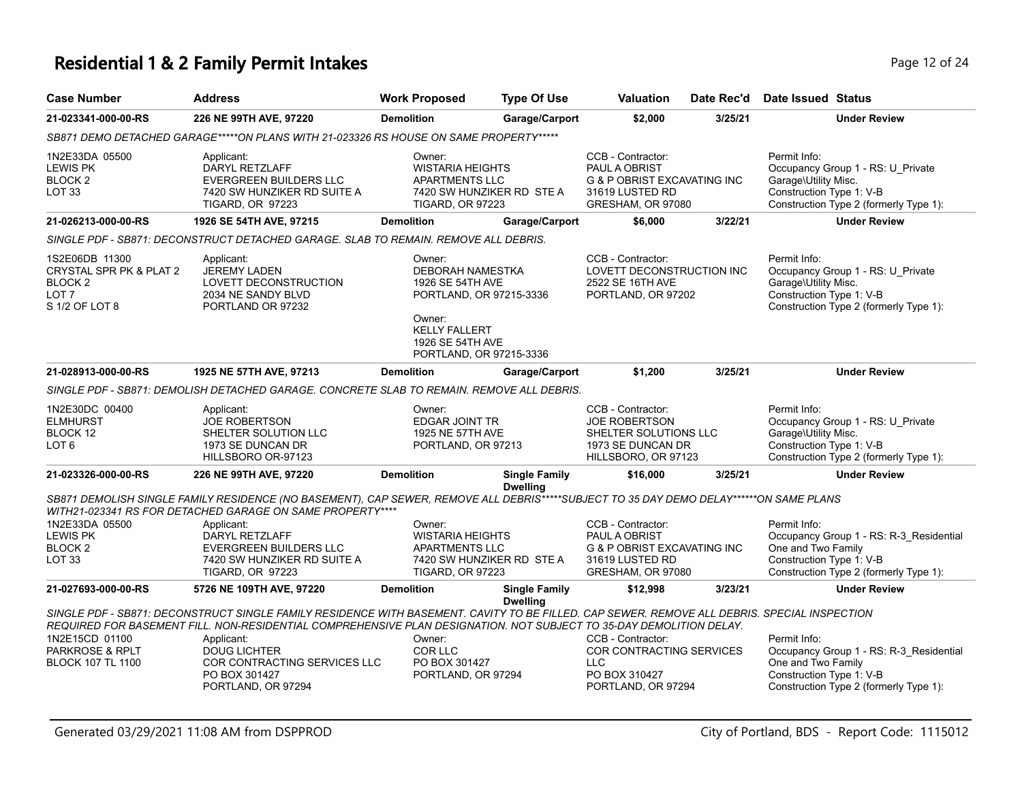#### **Residential 1 & 2 Family Permit Intakes Page 12 of 24 Page 12 of 24**

| <b>Case Number</b>                                                                                    | <b>Address</b>                                                                                                                                                                                                                                                                    | <b>Work Proposed</b>                                                                                                                                       | <b>Type Of Use</b>                                                                                                                                | <b>Valuation</b>                                                                                                     | Date Rec'd | Date Issued Status                                                                                                                                  |
|-------------------------------------------------------------------------------------------------------|-----------------------------------------------------------------------------------------------------------------------------------------------------------------------------------------------------------------------------------------------------------------------------------|------------------------------------------------------------------------------------------------------------------------------------------------------------|---------------------------------------------------------------------------------------------------------------------------------------------------|----------------------------------------------------------------------------------------------------------------------|------------|-----------------------------------------------------------------------------------------------------------------------------------------------------|
| 21-023341-000-00-RS                                                                                   | 226 NE 99TH AVE, 97220                                                                                                                                                                                                                                                            | <b>Demolition</b>                                                                                                                                          | Garage/Carport                                                                                                                                    | \$2,000                                                                                                              | 3/25/21    | <b>Under Review</b>                                                                                                                                 |
|                                                                                                       | SB871 DEMO DETACHED GARAGE*****ON PLANS WITH 21-023326 RS HOUSE ON SAME PROPERTY*****                                                                                                                                                                                             |                                                                                                                                                            |                                                                                                                                                   |                                                                                                                      |            |                                                                                                                                                     |
| 1N2E33DA 05500<br><b>LEWIS PK</b><br>BLOCK <sub>2</sub><br><b>LOT 33</b>                              | Applicant:<br>DARYL RETZLAFF<br><b>EVERGREEN BUILDERS LLC</b><br>7420 SW HUNZIKER RD SUITE A<br>TIGARD, OR 97223                                                                                                                                                                  | Owner:<br><b>WISTARIA HEIGHTS</b><br><b>APARTMENTS LLC</b><br>TIGARD, OR 97223                                                                             | 7420 SW HUNZIKER RD STE A                                                                                                                         | CCB - Contractor:<br>PAUL A OBRIST<br><b>G &amp; P OBRIST EXCAVATING INC</b><br>31619 LUSTED RD<br>GRESHAM, OR 97080 |            | Permit Info:<br>Occupancy Group 1 - RS: U_Private<br>Garage\Utility Misc.<br>Construction Type 1: V-B<br>Construction Type 2 (formerly Type 1):     |
| 21-026213-000-00-RS                                                                                   | 1926 SE 54TH AVE, 97215                                                                                                                                                                                                                                                           | <b>Demolition</b>                                                                                                                                          | Garage/Carport                                                                                                                                    | \$6,000                                                                                                              | 3/22/21    | <b>Under Review</b>                                                                                                                                 |
|                                                                                                       | SINGLE PDF - SB871: DECONSTRUCT DETACHED GARAGE. SLAB TO REMAIN. REMOVE ALL DEBRIS.                                                                                                                                                                                               |                                                                                                                                                            |                                                                                                                                                   |                                                                                                                      |            |                                                                                                                                                     |
| 1S2E06DB 11300<br>CRYSTAL SPR PK & PLAT 2<br>BLOCK <sub>2</sub><br>LOT <sub>7</sub><br>S 1/2 OF LOT 8 | Applicant:<br><b>JEREMY LADEN</b><br>LOVETT DECONSTRUCTION<br>2034 NE SANDY BLVD<br>PORTLAND OR 97232                                                                                                                                                                             | Owner:<br>DEBORAH NAMESTKA<br>1926 SE 54TH AVE<br>PORTLAND, OR 97215-3336<br>Owner:<br><b>KELLY FALLERT</b><br>1926 SE 54TH AVE<br>PORTLAND, OR 97215-3336 |                                                                                                                                                   | CCB - Contractor:<br>LOVETT DECONSTRUCTION INC<br>2522 SE 16TH AVE<br>PORTLAND, OR 97202                             |            | Permit Info:<br>Occupancy Group 1 - RS: U_Private<br>Garage\Utility Misc.<br>Construction Type 1: V-B<br>Construction Type 2 (formerly Type 1):     |
| 21-028913-000-00-RS                                                                                   | 1925 NE 57TH AVE, 97213                                                                                                                                                                                                                                                           | <b>Demolition</b>                                                                                                                                          | Garage/Carport                                                                                                                                    | \$1,200                                                                                                              | 3/25/21    | <b>Under Review</b>                                                                                                                                 |
|                                                                                                       | SINGLE PDF - SB871: DEMOLISH DETACHED GARAGE. CONCRETE SLAB TO REMAIN. REMOVE ALL DEBRIS.                                                                                                                                                                                         |                                                                                                                                                            |                                                                                                                                                   |                                                                                                                      |            |                                                                                                                                                     |
| 1N2E30DC 00400<br><b>ELMHURST</b><br>BLOCK 12<br>LOT 6                                                | Applicant:<br><b>JOE ROBERTSON</b><br>SHELTER SOLUTION LLC<br>1973 SE DUNCAN DR<br>HILLSBORO OR-97123                                                                                                                                                                             | Owner:<br>EDGAR JOINT TR<br>1925 NE 57TH AVE<br>PORTLAND, OR 97213                                                                                         |                                                                                                                                                   | CCB - Contractor:<br><b>JOE ROBERTSON</b><br>SHELTER SOLUTIONS LLC<br>1973 SE DUNCAN DR<br>HILLSBORO, OR 97123       |            | Permit Info:<br>Occupancy Group 1 - RS: U_Private<br>Garage\Utility Misc.<br>Construction Type 1: V-B<br>Construction Type 2 (formerly Type 1):     |
| 21-023326-000-00-RS                                                                                   | 226 NE 99TH AVE, 97220                                                                                                                                                                                                                                                            | <b>Demolition</b>                                                                                                                                          | <b>Single Family</b><br><b>Dwelling</b>                                                                                                           | \$16,000                                                                                                             | 3/25/21    | <b>Under Review</b>                                                                                                                                 |
|                                                                                                       | SB871 DEMOLISH SINGLE FAMILY RESIDENCE (NO BASEMENT), CAP SEWER, REMOVE ALL DEBRIS*****SUBJECT TO 35 DAY DEMO DELAY******ON SAME PLANS<br>WITH21-023341 RS FOR DETACHED GARAGE ON SAME PROPERTY****                                                                               |                                                                                                                                                            |                                                                                                                                                   |                                                                                                                      |            |                                                                                                                                                     |
| 1N2E33DA 05500<br><b>LEWIS PK</b><br>BLOCK <sub>2</sub><br>LOT 33                                     | Applicant:<br>DARYL RETZLAFF<br>EVERGREEN BUILDERS LLC<br>7420 SW HUNZIKER RD SUITE A<br><b>TIGARD, OR 97223</b>                                                                                                                                                                  | Owner:<br><b>WISTARIA HEIGHTS</b><br><b>APARTMENTS LLC</b><br><b>TIGARD, OR 97223</b>                                                                      | CCB - Contractor:<br>PAUL A OBRIST<br><b>G &amp; P OBRIST EXCAVATING INC</b><br>7420 SW HUNZIKER RD STE A<br>31619 LUSTED RD<br>GRESHAM, OR 97080 |                                                                                                                      |            | Permit Info:<br>Occupancy Group 1 - RS: R-3_Residential<br>One and Two Family<br>Construction Type 1: V-B<br>Construction Type 2 (formerly Type 1): |
| 21-027693-000-00-RS                                                                                   | 5726 NE 109TH AVE, 97220                                                                                                                                                                                                                                                          | <b>Demolition</b>                                                                                                                                          | <b>Single Family</b><br><b>Dwelling</b>                                                                                                           | \$12,998                                                                                                             | 3/23/21    | <b>Under Review</b>                                                                                                                                 |
| 1N2E15CD 01100                                                                                        | SINGLE PDF - SB871: DECONSTRUCT SINGLE FAMILY RESIDENCE WITH BASEMENT. CAVITY TO BE FILLED. CAP SEWER. REMOVE ALL DEBRIS. SPECIAL INSPECTION<br>REQUIRED FOR BASEMENT FILL. NON-RESIDENTIAL COMPREHENSIVE PLAN DESIGNATION. NOT SUBJECT TO 35-DAY DEMOLITION DELAY.<br>Applicant: | Owner:                                                                                                                                                     |                                                                                                                                                   | CCB - Contractor:                                                                                                    |            | Permit Info:                                                                                                                                        |
| PARKROSE & RPLT<br><b>BLOCK 107 TL 1100</b>                                                           | <b>DOUG LICHTER</b><br>COR CONTRACTING SERVICES LLC<br>PO BOX 301427                                                                                                                                                                                                              | COR LLC<br>PO BOX 301427<br>PORTLAND, OR 97294                                                                                                             |                                                                                                                                                   | COR CONTRACTING SERVICES<br><b>LLC</b><br>PO BOX 310427                                                              |            | Occupancy Group 1 - RS: R-3_Residential<br>One and Two Family<br>Construction Type 1: V-B                                                           |

PORTLAND, OR 97294

PORTLAND, OR 97294

Construction Type 2 (formerly Type 1):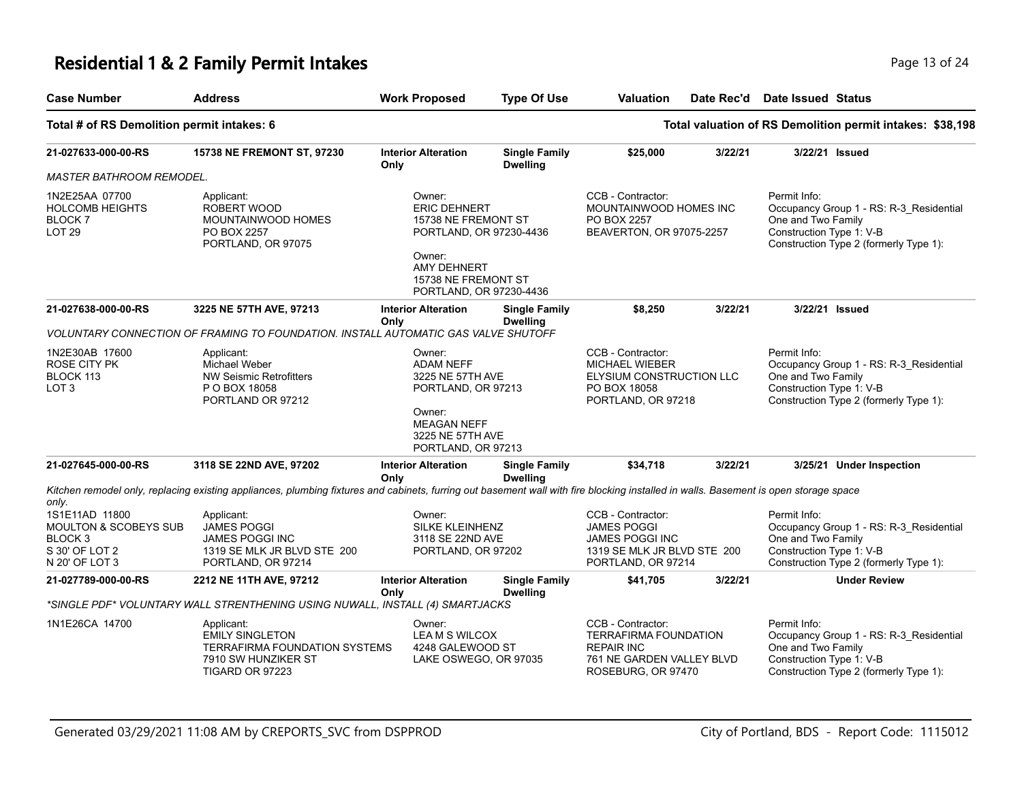### **Residential 1 & 2 Family Permit Intakes Page 13 of 24 Page 13 of 24**

| <b>Case Number</b>                                                                                           | <b>Address</b>                                                                                                                                                                       | <b>Work Proposed</b>                                                                                                                                       | <b>Type Of Use</b>                      | <b>Valuation</b>                                                                                                          | Date Rec'd | Date Issued Status                                             |                                                                                   |
|--------------------------------------------------------------------------------------------------------------|--------------------------------------------------------------------------------------------------------------------------------------------------------------------------------------|------------------------------------------------------------------------------------------------------------------------------------------------------------|-----------------------------------------|---------------------------------------------------------------------------------------------------------------------------|------------|----------------------------------------------------------------|-----------------------------------------------------------------------------------|
| Total # of RS Demolition permit intakes: 6                                                                   |                                                                                                                                                                                      |                                                                                                                                                            |                                         |                                                                                                                           |            |                                                                | Total valuation of RS Demolition permit intakes: \$38,198                         |
| 21-027633-000-00-RS                                                                                          | <b>15738 NE FREMONT ST, 97230</b>                                                                                                                                                    | <b>Interior Alteration</b><br>Only                                                                                                                         | <b>Single Family</b><br><b>Dwelling</b> | \$25,000                                                                                                                  | 3/22/21    |                                                                | 3/22/21 Issued                                                                    |
| <b>MASTER BATHROOM REMODEL.</b>                                                                              |                                                                                                                                                                                      |                                                                                                                                                            |                                         |                                                                                                                           |            |                                                                |                                                                                   |
| 1N2E25AA 07700<br><b>HOLCOMB HEIGHTS</b><br><b>BLOCK7</b><br><b>LOT 29</b>                                   | Applicant:<br>ROBERT WOOD<br>MOUNTAINWOOD HOMES<br>PO BOX 2257<br>PORTLAND, OR 97075                                                                                                 | Owner:<br><b>ERIC DEHNERT</b><br>15738 NE FREMONT ST<br>PORTLAND, OR 97230-4436<br>Owner:<br>AMY DEHNERT<br>15738 NE FREMONT ST<br>PORTLAND, OR 97230-4436 |                                         | CCB - Contractor:<br>MOUNTAINWOOD HOMES INC<br>PO BOX 2257<br>BEAVERTON, OR 97075-2257                                    |            | Permit Info:<br>One and Two Family<br>Construction Type 1: V-B | Occupancy Group 1 - RS: R-3 Residential<br>Construction Type 2 (formerly Type 1): |
| 21-027638-000-00-RS                                                                                          | 3225 NE 57TH AVE, 97213                                                                                                                                                              | <b>Interior Alteration</b><br>Only                                                                                                                         | <b>Single Family</b><br><b>Dwelling</b> | \$8,250                                                                                                                   | 3/22/21    |                                                                | 3/22/21 Issued                                                                    |
|                                                                                                              | VOLUNTARY CONNECTION OF FRAMING TO FOUNDATION. INSTALL AUTOMATIC GAS VALVE SHUTOFF                                                                                                   |                                                                                                                                                            |                                         |                                                                                                                           |            |                                                                |                                                                                   |
| 1N2E30AB 17600<br>ROSE CITY PK<br>BLOCK 113<br>LOT <sub>3</sub>                                              | Applicant:<br>Michael Weber<br><b>NW Seismic Retrofitters</b><br>P O BOX 18058<br>PORTLAND OR 97212                                                                                  | Owner:<br><b>ADAM NEFF</b><br>3225 NE 57TH AVE<br>PORTLAND, OR 97213<br>Owner:<br><b>MEAGAN NEFF</b><br>3225 NE 57TH AVE<br>PORTLAND, OR 97213             |                                         | CCB - Contractor:<br><b>MICHAEL WIEBER</b><br>ELYSIUM CONSTRUCTION LLC<br>PO BOX 18058<br>PORTLAND, OR 97218              |            | Permit Info:<br>One and Two Family<br>Construction Type 1: V-B | Occupancy Group 1 - RS: R-3 Residential<br>Construction Type 2 (formerly Type 1): |
| 21-027645-000-00-RS                                                                                          | 3118 SE 22ND AVE, 97202                                                                                                                                                              | <b>Interior Alteration</b><br>Only                                                                                                                         | <b>Single Family</b><br><b>Dwelling</b> | \$34,718                                                                                                                  | 3/22/21    |                                                                | 3/25/21 Under Inspection                                                          |
| only.                                                                                                        | Kitchen remodel only, replacing existing appliances, plumbing fixtures and cabinets, furring out basement wall with fire blocking installed in walls. Basement is open storage space |                                                                                                                                                            |                                         |                                                                                                                           |            |                                                                |                                                                                   |
| 1S1E11AD 11800<br><b>MOULTON &amp; SCOBEYS SUB</b><br>BLOCK <sub>3</sub><br>S 30' OF LOT 2<br>N 20' OF LOT 3 | Applicant:<br><b>JAMES POGGI</b><br><b>JAMES POGGI INC</b><br>1319 SE MLK JR BLVD STE 200<br>PORTLAND, OR 97214                                                                      | Owner:<br><b>SILKE KLEINHENZ</b><br>3118 SE 22ND AVE<br>PORTLAND, OR 97202                                                                                 |                                         | CCB - Contractor:<br><b>JAMES POGGI</b><br><b>JAMES POGGI INC</b><br>1319 SE MLK JR BLVD STE 200<br>PORTLAND, OR 97214    |            | Permit Info:<br>One and Two Family<br>Construction Type 1: V-B | Occupancy Group 1 - RS: R-3_Residential<br>Construction Type 2 (formerly Type 1): |
| 21-027789-000-00-RS                                                                                          | 2212 NE 11TH AVE, 97212                                                                                                                                                              | <b>Interior Alteration</b>                                                                                                                                 | <b>Single Family</b>                    | \$41,705                                                                                                                  | 3/22/21    |                                                                | <b>Under Review</b>                                                               |
|                                                                                                              | *SINGLE PDF* VOLUNTARY WALL STRENTHENING USING NUWALL, INSTALL (4) SMARTJACKS                                                                                                        | Only                                                                                                                                                       | <b>Dwelling</b>                         |                                                                                                                           |            |                                                                |                                                                                   |
| 1N1E26CA 14700                                                                                               | Applicant:<br><b>EMILY SINGLETON</b><br>TERRAFIRMA FOUNDATION SYSTEMS<br>7910 SW HUNZIKER ST<br>TIGARD OR 97223                                                                      | Owner:<br>LEAM S WILCOX<br>4248 GALEWOOD ST<br>LAKE OSWEGO, OR 97035                                                                                       |                                         | CCB - Contractor:<br><b>TERRAFIRMA FOUNDATION</b><br><b>REPAIR INC</b><br>761 NE GARDEN VALLEY BLVD<br>ROSEBURG, OR 97470 |            | Permit Info:<br>One and Two Family<br>Construction Type 1: V-B | Occupancy Group 1 - RS: R-3 Residential<br>Construction Type 2 (formerly Type 1): |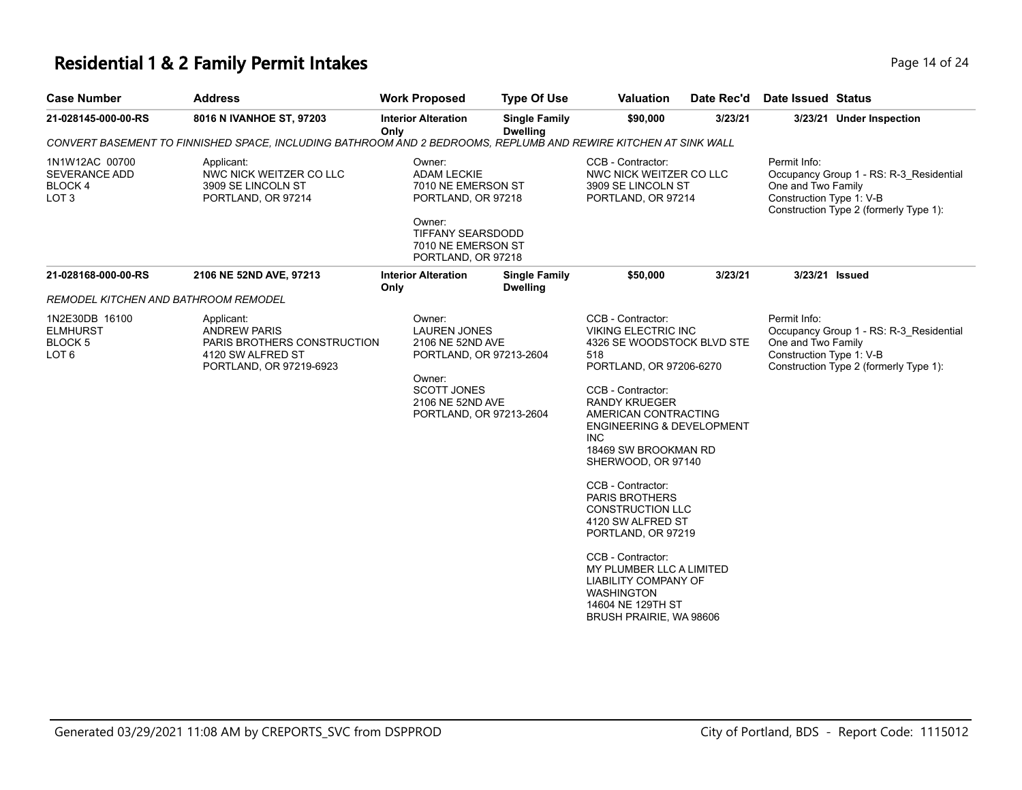### **Residential 1 & 2 Family Permit Intakes Page 14 of 24 and 24 and 24 and 24 and 24 and 24 and 24 and 24 and 24 and 24 and 24 and 24 and 24 and 24 and 24 and 24 and 24 and 25 and 25 and 25 and 25 and 25 and 25 and 25 and**

| <b>Case Number</b>                                                      | <b>Address</b>                                                                                                   | <b>Work Proposed</b>                                                                                                                                        | <b>Type Of Use</b>                      | <b>Valuation</b>                                                                                                                                                                                                                                                                                                                                                                                                                                                                                                                                                  | Date Rec'd | Date Issued Status                                                                                                                                  |
|-------------------------------------------------------------------------|------------------------------------------------------------------------------------------------------------------|-------------------------------------------------------------------------------------------------------------------------------------------------------------|-----------------------------------------|-------------------------------------------------------------------------------------------------------------------------------------------------------------------------------------------------------------------------------------------------------------------------------------------------------------------------------------------------------------------------------------------------------------------------------------------------------------------------------------------------------------------------------------------------------------------|------------|-----------------------------------------------------------------------------------------------------------------------------------------------------|
| 21-028145-000-00-RS                                                     | 8016 N IVANHOE ST, 97203                                                                                         | <b>Interior Alteration</b><br>Only                                                                                                                          | <b>Single Family</b><br><b>Dwelling</b> | \$90,000                                                                                                                                                                                                                                                                                                                                                                                                                                                                                                                                                          | 3/23/21    | 3/23/21 Under Inspection                                                                                                                            |
|                                                                         | CONVERT BASEMENT TO FINNISHED SPACE, INCLUDING BATHROOM AND 2 BEDROOMS, REPLUMB AND REWIRE KITCHEN AT SINK WALL  |                                                                                                                                                             |                                         |                                                                                                                                                                                                                                                                                                                                                                                                                                                                                                                                                                   |            |                                                                                                                                                     |
| 1N1W12AC 00700<br><b>SEVERANCE ADD</b><br>BLOCK 4<br>LOT <sub>3</sub>   | Applicant:<br>NWC NICK WEITZER CO LLC<br>3909 SE LINCOLN ST<br>PORTLAND, OR 97214                                | Owner:<br><b>ADAM LECKIE</b><br>7010 NE EMERSON ST<br>PORTLAND, OR 97218<br>Owner:<br><b>TIFFANY SEARSDODD</b><br>7010 NE EMERSON ST<br>PORTLAND, OR 97218  |                                         | CCB - Contractor:<br>NWC NICK WEITZER CO LLC<br>3909 SE LINCOLN ST<br>PORTLAND, OR 97214                                                                                                                                                                                                                                                                                                                                                                                                                                                                          |            | Permit Info:<br>Occupancy Group 1 - RS: R-3 Residential<br>One and Two Family<br>Construction Type 1: V-B<br>Construction Type 2 (formerly Type 1): |
| 21-028168-000-00-RS                                                     | 2106 NE 52ND AVE, 97213                                                                                          | <b>Interior Alteration</b><br>Only                                                                                                                          | <b>Single Family</b><br><b>Dwelling</b> | \$50,000                                                                                                                                                                                                                                                                                                                                                                                                                                                                                                                                                          | 3/23/21    | 3/23/21 Issued                                                                                                                                      |
| REMODEL KITCHEN AND BATHROOM REMODEL                                    |                                                                                                                  |                                                                                                                                                             |                                         |                                                                                                                                                                                                                                                                                                                                                                                                                                                                                                                                                                   |            |                                                                                                                                                     |
| 1N2E30DB 16100<br><b>ELMHURST</b><br><b>BLOCK 5</b><br>LOT <sub>6</sub> | Applicant:<br><b>ANDREW PARIS</b><br>PARIS BROTHERS CONSTRUCTION<br>4120 SW ALFRED ST<br>PORTLAND, OR 97219-6923 | Owner:<br><b>LAUREN JONES</b><br>2106 NE 52ND AVE<br>PORTLAND, OR 97213-2604<br>Owner:<br><b>SCOTT JONES</b><br>2106 NE 52ND AVE<br>PORTLAND, OR 97213-2604 |                                         | CCB - Contractor:<br><b>VIKING ELECTRIC INC</b><br>4326 SE WOODSTOCK BLVD STE<br>518<br>PORTLAND, OR 97206-6270<br>CCB - Contractor:<br><b>RANDY KRUEGER</b><br>AMERICAN CONTRACTING<br><b>ENGINEERING &amp; DEVELOPMENT</b><br><b>INC</b><br>18469 SW BROOKMAN RD<br>SHERWOOD, OR 97140<br>CCB - Contractor:<br><b>PARIS BROTHERS</b><br><b>CONSTRUCTION LLC</b><br>4120 SW ALFRED ST<br>PORTLAND, OR 97219<br>CCB - Contractor:<br>MY PLUMBER LLC A LIMITED<br><b>LIABILITY COMPANY OF</b><br><b>WASHINGTON</b><br>14604 NE 129TH ST<br>BRUSH PRAIRIE, WA 98606 |            | Permit Info:<br>Occupancy Group 1 - RS: R-3 Residential<br>One and Two Family<br>Construction Type 1: V-B<br>Construction Type 2 (formerly Type 1): |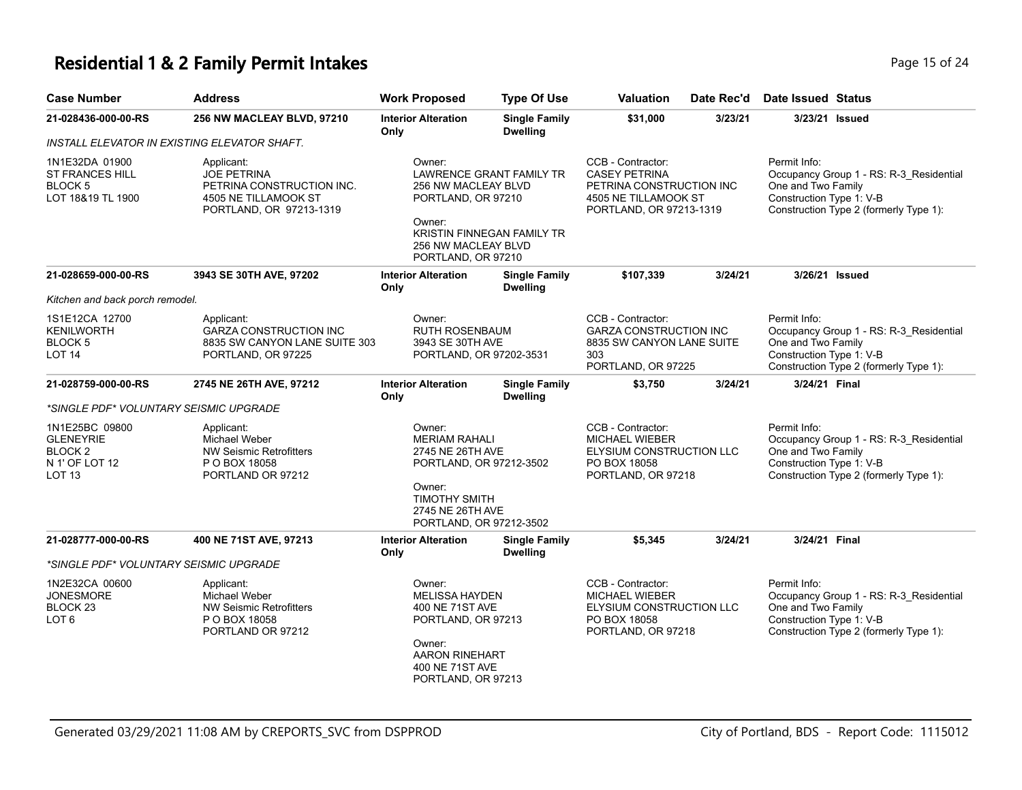### **Residential 1 & 2 Family Permit Intakes Page 15 of 24 Page 15 of 24**

| <b>Case Number</b>                                                                                                                                                                           | <b>Address</b>                                                                                      | <b>Work Proposed</b>                                                                                                                                 | <b>Type Of Use</b>                                                                                              | Valuation                                                                                                                | Date Rec'd                                                                                                   | <b>Date Issued Status</b>                                                                                                                           |                                                                                                                                     |
|----------------------------------------------------------------------------------------------------------------------------------------------------------------------------------------------|-----------------------------------------------------------------------------------------------------|------------------------------------------------------------------------------------------------------------------------------------------------------|-----------------------------------------------------------------------------------------------------------------|--------------------------------------------------------------------------------------------------------------------------|--------------------------------------------------------------------------------------------------------------|-----------------------------------------------------------------------------------------------------------------------------------------------------|-------------------------------------------------------------------------------------------------------------------------------------|
| 21-028436-000-00-RS                                                                                                                                                                          | 256 NW MACLEAY BLVD, 97210                                                                          | <b>Interior Alteration</b><br>Only                                                                                                                   | <b>Single Family</b><br><b>Dwelling</b>                                                                         | \$31,000                                                                                                                 | 3/23/21                                                                                                      | 3/23/21 Issued                                                                                                                                      |                                                                                                                                     |
|                                                                                                                                                                                              | INSTALL ELEVATOR IN EXISTING ELEVATOR SHAFT.                                                        |                                                                                                                                                      |                                                                                                                 |                                                                                                                          |                                                                                                              |                                                                                                                                                     |                                                                                                                                     |
| 1N1E32DA 01900<br>Applicant:<br><b>JOE PETRINA</b><br><b>ST FRANCES HILL</b><br>BLOCK 5<br>PETRINA CONSTRUCTION INC.<br>LOT 18&19 TL 1900<br>4505 NE TILLAMOOK ST<br>PORTLAND, OR 97213-1319 |                                                                                                     | Owner:<br><b>LAWRENCE GRANT FAMILY TR</b><br>256 NW MACLEAY BLVD<br>PORTLAND, OR 97210<br>Owner:<br>KRISTIN FINNEGAN FAMILY TR                       |                                                                                                                 | CCB - Contractor:<br><b>CASEY PETRINA</b><br>PETRINA CONSTRUCTION INC<br>4505 NE TILLAMOOK ST<br>PORTLAND, OR 97213-1319 |                                                                                                              | Permit Info:<br>Occupancy Group 1 - RS: R-3_Residential<br>One and Two Family<br>Construction Type 1: V-B<br>Construction Type 2 (formerly Type 1): |                                                                                                                                     |
|                                                                                                                                                                                              |                                                                                                     | 256 NW MACLEAY BLVD<br>PORTLAND, OR 97210                                                                                                            |                                                                                                                 |                                                                                                                          |                                                                                                              |                                                                                                                                                     |                                                                                                                                     |
| 21-028659-000-00-RS                                                                                                                                                                          | 3943 SE 30TH AVE, 97202                                                                             | <b>Interior Alteration</b><br>Only                                                                                                                   | <b>Single Family</b><br><b>Dwelling</b>                                                                         | \$107,339                                                                                                                | 3/24/21                                                                                                      | 3/26/21 Issued                                                                                                                                      |                                                                                                                                     |
| Kitchen and back porch remodel.                                                                                                                                                              |                                                                                                     |                                                                                                                                                      |                                                                                                                 |                                                                                                                          |                                                                                                              |                                                                                                                                                     |                                                                                                                                     |
| 1S1E12CA 12700<br><b>KENILWORTH</b><br><b>BLOCK 5</b><br>LOT 14                                                                                                                              | Applicant:<br><b>GARZA CONSTRUCTION INC</b><br>8835 SW CANYON LANE SUITE 303<br>PORTLAND, OR 97225  | Owner:                                                                                                                                               | <b>RUTH ROSENBAUM</b><br>3943 SE 30TH AVE<br>PORTLAND, OR 97202-3531                                            |                                                                                                                          | CCB - Contractor:<br><b>GARZA CONSTRUCTION INC</b><br>8835 SW CANYON LANE SUITE<br>303<br>PORTLAND, OR 97225 |                                                                                                                                                     | Occupancy Group 1 - RS: R-3_Residential<br>One and Two Family<br>Construction Type 1: V-B<br>Construction Type 2 (formerly Type 1): |
| 21-028759-000-00-RS                                                                                                                                                                          | 2745 NE 26TH AVE, 97212                                                                             | <b>Interior Alteration</b><br>Only                                                                                                                   | <b>Single Family</b><br><b>Dwelling</b>                                                                         | \$3,750                                                                                                                  | 3/24/21                                                                                                      | 3/24/21 Final                                                                                                                                       |                                                                                                                                     |
| *SINGLE PDF* VOLUNTARY SEISMIC UPGRADE                                                                                                                                                       |                                                                                                     |                                                                                                                                                      |                                                                                                                 |                                                                                                                          |                                                                                                              |                                                                                                                                                     |                                                                                                                                     |
| 1N1E25BC 09800<br><b>GLENEYRIE</b><br>BLOCK <sub>2</sub><br>N 1' OF LOT 12<br>LOT 13                                                                                                         | Applicant:<br>Michael Weber<br><b>NW Seismic Retrofitters</b><br>P O BOX 18058<br>PORTLAND OR 97212 | Owner:<br>Owner:<br>PORTLAND, OR 97212-3502                                                                                                          | <b>MERIAM RAHALI</b><br>2745 NE 26TH AVE<br>PORTLAND, OR 97212-3502<br><b>TIMOTHY SMITH</b><br>2745 NE 26TH AVE |                                                                                                                          | CCB - Contractor:<br><b>MICHAEL WIEBER</b><br>ELYSIUM CONSTRUCTION LLC<br>PO BOX 18058<br>PORTLAND, OR 97218 |                                                                                                                                                     | Occupancy Group 1 - RS: R-3_Residential<br>One and Two Family<br>Construction Type 1: V-B<br>Construction Type 2 (formerly Type 1): |
| 21-028777-000-00-RS                                                                                                                                                                          | 400 NE 71ST AVE, 97213                                                                              | <b>Interior Alteration</b><br>Only                                                                                                                   | <b>Single Family</b><br><b>Dwelling</b>                                                                         | \$5,345                                                                                                                  | 3/24/21                                                                                                      | 3/24/21 Final                                                                                                                                       |                                                                                                                                     |
| *SINGLE PDF* VOLUNTARY SEISMIC UPGRADE                                                                                                                                                       |                                                                                                     |                                                                                                                                                      |                                                                                                                 |                                                                                                                          |                                                                                                              |                                                                                                                                                     |                                                                                                                                     |
| 1N2E32CA 00600<br><b>JONESMORE</b><br>BLOCK 23<br>LOT 6                                                                                                                                      | Applicant:<br>Michael Weber<br><b>NW Seismic Retrofitters</b><br>P O BOX 18058<br>PORTLAND OR 97212 | Owner:<br><b>MELISSA HAYDEN</b><br>400 NE 71ST AVE<br>PORTLAND, OR 97213<br>Owner:<br><b>AARON RINEHART</b><br>400 NE 71ST AVE<br>PORTLAND, OR 97213 |                                                                                                                 | CCB - Contractor:<br><b>MICHAEL WIEBER</b><br>ELYSIUM CONSTRUCTION LLC<br>PO BOX 18058<br>PORTLAND, OR 97218             |                                                                                                              | Permit Info:<br>One and Two Family<br>Construction Type 1: V-B                                                                                      | Occupancy Group 1 - RS: R-3_Residential<br>Construction Type 2 (formerly Type 1):                                                   |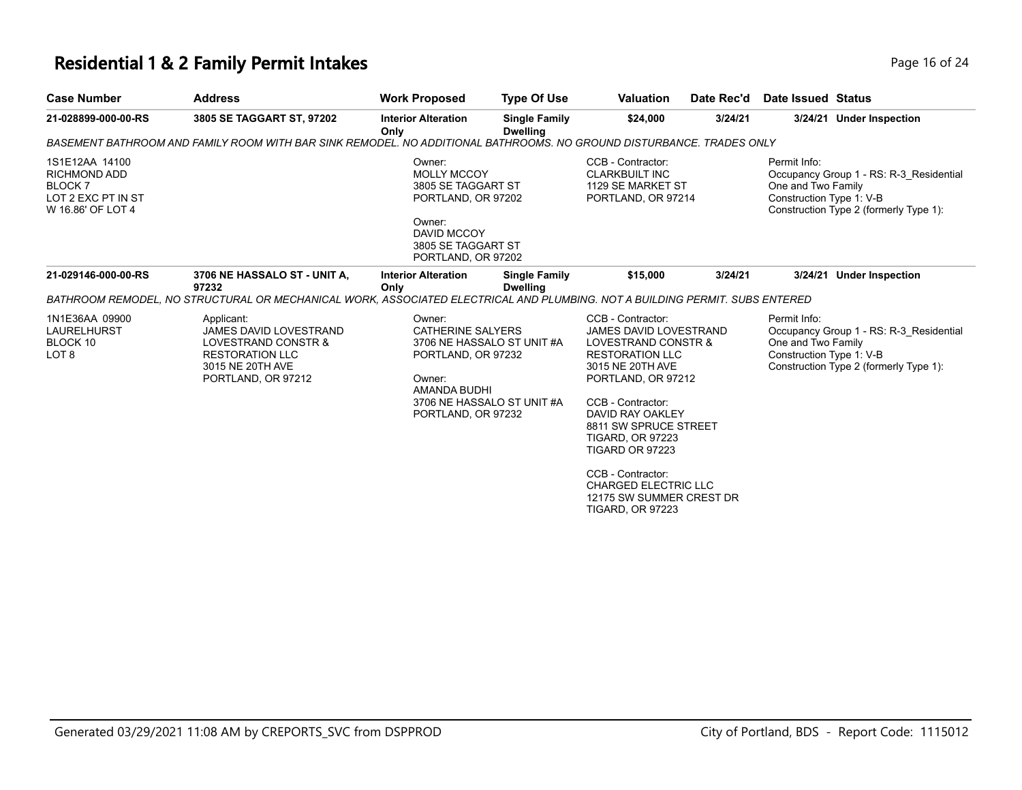### **Residential 1 & 2 Family Permit Intakes Page 16 of 24 Page 16 of 24**

| 3805 SE TAGGART ST, 97202                                                                                                              | <b>Interior Alteration</b>             | <b>Single Family</b>                    | \$24,000                                                                                                                                                                                                                                                                          | 3/24/21                 |                                                                                                                                                                                                                                                  | 3/24/21 Under Inspection                                                                                                                                                                                                                            |
|----------------------------------------------------------------------------------------------------------------------------------------|----------------------------------------|-----------------------------------------|-----------------------------------------------------------------------------------------------------------------------------------------------------------------------------------------------------------------------------------------------------------------------------------|-------------------------|--------------------------------------------------------------------------------------------------------------------------------------------------------------------------------------------------------------------------------------------------|-----------------------------------------------------------------------------------------------------------------------------------------------------------------------------------------------------------------------------------------------------|
|                                                                                                                                        |                                        |                                         |                                                                                                                                                                                                                                                                                   |                         |                                                                                                                                                                                                                                                  |                                                                                                                                                                                                                                                     |
|                                                                                                                                        | Owner:<br>Owner:<br><b>DAVID MCCOY</b> |                                         | CCB - Contractor:<br><b>CLARKBUILT INC</b>                                                                                                                                                                                                                                        |                         | Permit Info:<br>One and Two Family<br>Construction Type 1: V-B                                                                                                                                                                                   | Occupancy Group 1 - RS: R-3 Residential<br>Construction Type 2 (formerly Type 1):                                                                                                                                                                   |
| 3706 NE HASSALO ST - UNIT A,<br>97232                                                                                                  | <b>Interior Alteration</b><br>Only     | <b>Single Family</b><br><b>Dwelling</b> | \$15,000                                                                                                                                                                                                                                                                          | 3/24/21                 |                                                                                                                                                                                                                                                  | 3/24/21 Under Inspection                                                                                                                                                                                                                            |
| Applicant:<br><b>JAMES DAVID LOVESTRAND</b><br>LOVESTRAND CONSTR &<br><b>RESTORATION LLC</b><br>3015 NE 20TH AVE<br>PORTLAND, OR 97212 | Owner:<br>Owner:                       |                                         | CCB - Contractor:<br>3015 NE 20TH AVE<br>CCB - Contractor:<br><b>TIGARD, OR 97223</b><br><b>TIGARD OR 97223</b><br>CCB - Contractor:                                                                                                                                              |                         | Permit Info:<br>One and Two Family<br>Construction Type 1: V-B                                                                                                                                                                                   | Occupancy Group 1 - RS: R-3 Residential<br>Construction Type 2 (formerly Type 1):                                                                                                                                                                   |
|                                                                                                                                        |                                        | Only                                    | <b>Dwelling</b><br><b>MOLLY MCCOY</b><br>3805 SE TAGGART ST<br>PORTLAND, OR 97202<br>3805 SE TAGGART ST<br>PORTLAND, OR 97202<br><b>CATHERINE SALYERS</b><br>3706 NE HASSALO ST UNIT #A<br>PORTLAND, OR 97232<br>AMANDA BUDHI<br>3706 NE HASSALO ST UNIT #A<br>PORTLAND, OR 97232 | <b>TIGARD, OR 97223</b> | 1129 SE MARKET ST<br>PORTLAND, OR 97214<br>JAMES DAVID LOVESTRAND<br>LOVESTRAND CONSTR &<br><b>RESTORATION LLC</b><br>PORTLAND, OR 97212<br>DAVID RAY OAKLEY<br>8811 SW SPRUCE STREET<br><b>CHARGED ELECTRIC LLC</b><br>12175 SW SUMMER CREST DR | BASEMENT BATHROOM AND FAMILY ROOM WITH BAR SINK REMODEL. NO ADDITIONAL BATHROOMS. NO GROUND DISTURBANCE. TRADES ONLY<br>BATHROOM REMODEL, NO STRUCTURAL OR MECHANICAL WORK, ASSOCIATED ELECTRICAL AND PLUMBING. NOT A BUILDING PERMIT. SUBS ENTERED |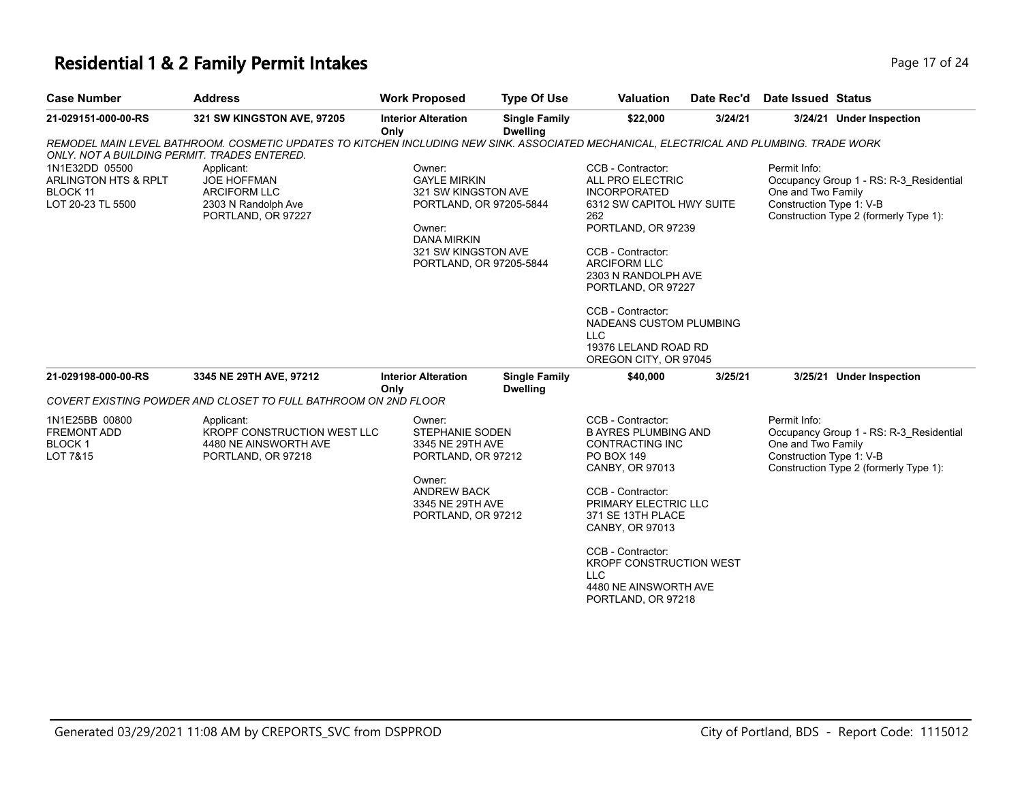# **Residential 1 & 2 Family Permit Intakes** Page 17 of 25 of 24 of 24 of 24 of 24 of 24 of 24 of 24 of 24 of 24 of 24 of 24 of 24 of 24 of 24 of 24 of 24 of 24 of 24 of 24 of 24 of 24 of 24 of 24 of 24 of 24 of 24 of 24 of 2

| Page 17 of 24 |  |  |
|---------------|--|--|
|               |  |  |

| <b>Case Number</b>                                                             | <b>Address</b>                                                                                                                          | <b>Work Proposed</b>                                                                                                                                              | <b>Type Of Use</b>                      | <b>Valuation</b>                                                                                                                                                                                                                                                                                                               | Date Rec'd | <b>Date Issued Status</b>                                                                                                                           |
|--------------------------------------------------------------------------------|-----------------------------------------------------------------------------------------------------------------------------------------|-------------------------------------------------------------------------------------------------------------------------------------------------------------------|-----------------------------------------|--------------------------------------------------------------------------------------------------------------------------------------------------------------------------------------------------------------------------------------------------------------------------------------------------------------------------------|------------|-----------------------------------------------------------------------------------------------------------------------------------------------------|
| 21-029151-000-00-RS                                                            | 321 SW KINGSTON AVE, 97205                                                                                                              | <b>Interior Alteration</b><br>Only                                                                                                                                | <b>Single Family</b><br><b>Dwelling</b> | \$22,000                                                                                                                                                                                                                                                                                                                       | 3/24/21    | 3/24/21 Under Inspection                                                                                                                            |
| ONLY. NOT A BUILDING PERMIT. TRADES ENTERED.                                   | REMODEL MAIN LEVEL BATHROOM. COSMETIC UPDATES TO KITCHEN INCLUDING NEW SINK. ASSOCIATED MECHANICAL, ELECTRICAL AND PLUMBING. TRADE WORK |                                                                                                                                                                   |                                         |                                                                                                                                                                                                                                                                                                                                |            |                                                                                                                                                     |
| 1N1E32DD 05500<br>ARLINGTON HTS & RPLT<br><b>BLOCK 11</b><br>LOT 20-23 TL 5500 | Applicant:<br>JOE HOFFMAN<br><b>ARCIFORM LLC</b><br>2303 N Randolph Ave<br>PORTLAND, OR 97227                                           | Owner:<br><b>GAYLE MIRKIN</b><br>321 SW KINGSTON AVE<br>PORTLAND, OR 97205-5844<br>Owner:<br><b>DANA MIRKIN</b><br>321 SW KINGSTON AVE<br>PORTLAND, OR 97205-5844 |                                         | CCB - Contractor:<br>ALL PRO ELECTRIC<br><b>INCORPORATED</b><br>6312 SW CAPITOL HWY SUITE<br>262<br>PORTLAND, OR 97239<br>CCB - Contractor:<br><b>ARCIFORM LLC</b><br>2303 N RANDOLPH AVE<br>PORTLAND, OR 97227<br>CCB - Contractor:<br>NADEANS CUSTOM PLUMBING<br><b>LLC</b><br>19376 LELAND ROAD RD<br>OREGON CITY, OR 97045 |            | Permit Info:<br>Occupancy Group 1 - RS: R-3_Residential<br>One and Two Family<br>Construction Type 1: V-B<br>Construction Type 2 (formerly Type 1): |
| 21-029198-000-00-RS                                                            | 3345 NE 29TH AVE, 97212                                                                                                                 | <b>Interior Alteration</b><br>Only                                                                                                                                | <b>Single Family</b><br><b>Dwelling</b> | \$40,000                                                                                                                                                                                                                                                                                                                       | 3/25/21    | 3/25/21 Under Inspection                                                                                                                            |
|                                                                                | COVERT EXISTING POWDER AND CLOSET TO FULL BATHROOM ON 2ND FLOOR                                                                         |                                                                                                                                                                   |                                         |                                                                                                                                                                                                                                                                                                                                |            |                                                                                                                                                     |
| 1N1E25BB 00800<br>FREMONT ADD<br>BLOCK <sub>1</sub><br>LOT 7&15                | Applicant:<br>KROPF CONSTRUCTION WEST LLC<br>4480 NE AINSWORTH AVE<br>PORTLAND, OR 97218                                                | Owner:<br>STEPHANIE SODEN<br>3345 NE 29TH AVE<br>PORTLAND, OR 97212<br>Owner:<br><b>ANDREW BACK</b><br>3345 NE 29TH AVE<br>PORTLAND, OR 97212                     |                                         | CCB - Contractor:<br><b>B AYRES PLUMBING AND</b><br><b>CONTRACTING INC</b><br>PO BOX 149<br>CANBY, OR 97013<br>CCB - Contractor:<br>PRIMARY ELECTRIC LLC<br>371 SE 13TH PLACE<br>CANBY, OR 97013<br>CCB - Contractor:<br>KROPF CONSTRUCTION WEST<br><b>LLC</b><br>4480 NE AINSWORTH AVE<br>PORTLAND, OR 97218                  |            | Permit Info:<br>Occupancy Group 1 - RS: R-3 Residential<br>One and Two Family<br>Construction Type 1: V-B<br>Construction Type 2 (formerly Type 1): |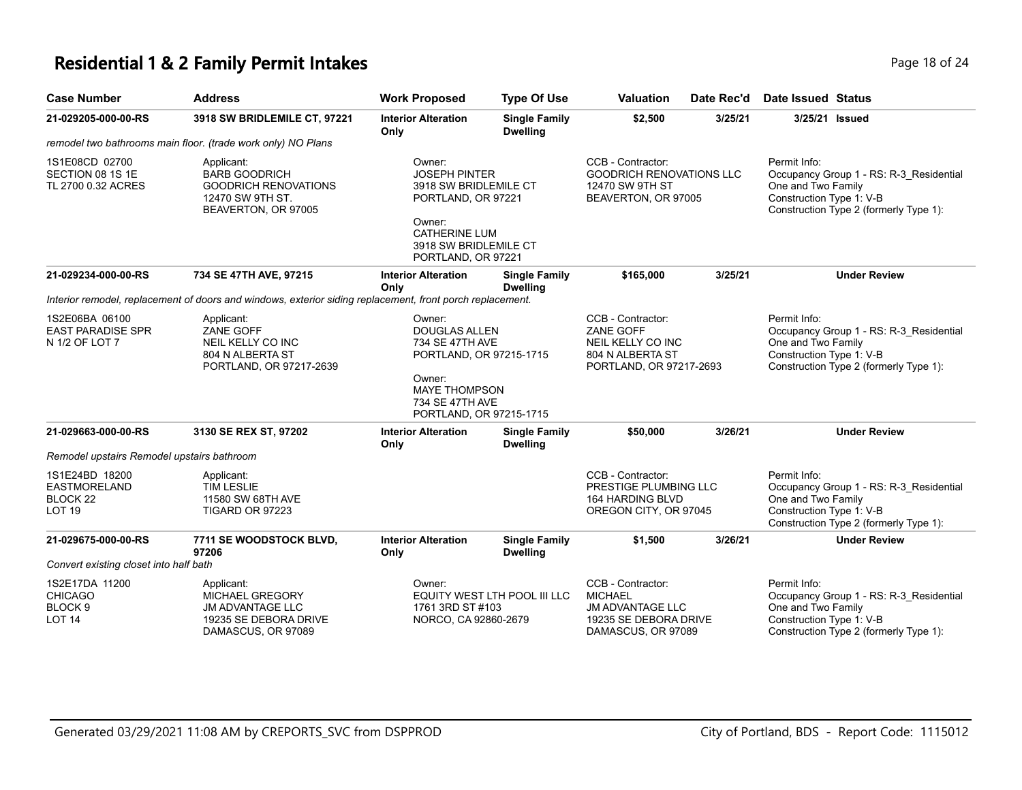### **Residential 1 & 2 Family Permit Intakes Page 18 of 24 Page 18 of 24**

| <b>Case Number</b>                                                                | <b>Address</b>                                                                                                 | <b>Work Proposed</b>                                                                                                                                         | <b>Type Of Use</b>                      | <b>Valuation</b>                                                                                              | Date Rec'd | Date Issued Status                                                                                                                                  |
|-----------------------------------------------------------------------------------|----------------------------------------------------------------------------------------------------------------|--------------------------------------------------------------------------------------------------------------------------------------------------------------|-----------------------------------------|---------------------------------------------------------------------------------------------------------------|------------|-----------------------------------------------------------------------------------------------------------------------------------------------------|
| 21-029205-000-00-RS                                                               | 3918 SW BRIDLEMILE CT, 97221                                                                                   | <b>Interior Alteration</b><br>Only                                                                                                                           | <b>Single Family</b><br><b>Dwelling</b> | \$2,500                                                                                                       | 3/25/21    | 3/25/21 Issued                                                                                                                                      |
|                                                                                   | remodel two bathrooms main floor. (trade work only) NO Plans                                                   |                                                                                                                                                              |                                         |                                                                                                               |            |                                                                                                                                                     |
| 1S1E08CD 02700<br>SECTION 08 1S 1E<br>TL 2700 0.32 ACRES                          | Applicant:<br><b>BARB GOODRICH</b><br><b>GOODRICH RENOVATIONS</b><br>12470 SW 9TH ST.<br>BEAVERTON, OR 97005   | Owner:<br><b>JOSEPH PINTER</b><br>3918 SW BRIDLEMILE CT<br>PORTLAND, OR 97221<br>Owner:<br>CATHERINE LUM<br>3918 SW BRIDLEMILE CT<br>PORTLAND, OR 97221      |                                         | CCB - Contractor:<br><b>GOODRICH RENOVATIONS LLC</b><br>12470 SW 9TH ST<br>BEAVERTON, OR 97005                |            | Permit Info:<br>Occupancy Group 1 - RS: R-3_Residential<br>One and Two Family<br>Construction Type 1: V-B<br>Construction Type 2 (formerly Type 1): |
| 21-029234-000-00-RS                                                               | 734 SE 47TH AVE, 97215                                                                                         | <b>Interior Alteration</b><br>Only                                                                                                                           | <b>Single Family</b><br><b>Dwelling</b> | \$165,000                                                                                                     | 3/25/21    | <b>Under Review</b>                                                                                                                                 |
|                                                                                   | Interior remodel, replacement of doors and windows, exterior siding replacement, front porch replacement.      |                                                                                                                                                              |                                         |                                                                                                               |            |                                                                                                                                                     |
| 1S2E06BA 06100<br><b>EAST PARADISE SPR</b><br>N 1/2 OF LOT 7                      | Applicant:<br>ZANE GOFF<br>NEIL KELLY CO INC<br>804 N ALBERTA ST<br>PORTLAND, OR 97217-2639                    | Owner:<br><b>DOUGLAS ALLEN</b><br>734 SE 47TH AVE<br>PORTLAND, OR 97215-1715<br>Owner:<br><b>MAYE THOMPSON</b><br>734 SE 47TH AVE<br>PORTLAND, OR 97215-1715 |                                         | CCB - Contractor:<br>ZANE GOFF<br>NEIL KELLY CO INC<br>804 N ALBERTA ST<br>PORTLAND, OR 97217-2693            |            | Permit Info:<br>Occupancy Group 1 - RS: R-3 Residential<br>One and Two Family<br>Construction Type 1: V-B<br>Construction Type 2 (formerly Type 1): |
| 21-029663-000-00-RS                                                               | 3130 SE REX ST, 97202                                                                                          | <b>Interior Alteration</b><br>Only                                                                                                                           | <b>Single Family</b><br><b>Dwelling</b> | \$50,000                                                                                                      | 3/26/21    | <b>Under Review</b>                                                                                                                                 |
| Remodel upstairs Remodel upstairs bathroom                                        |                                                                                                                |                                                                                                                                                              |                                         |                                                                                                               |            |                                                                                                                                                     |
| 1S1E24BD 18200<br><b>EASTMORELAND</b><br>BLOCK <sub>22</sub><br>LOT <sub>19</sub> | Applicant:<br><b>TIM LESLIE</b><br>11580 SW 68TH AVE<br>TIGARD OR 97223                                        |                                                                                                                                                              |                                         | CCB - Contractor:<br>PRESTIGE PLUMBING LLC<br>164 HARDING BLVD<br>OREGON CITY, OR 97045                       |            | Permit Info:<br>Occupancy Group 1 - RS: R-3_Residential<br>One and Two Family<br>Construction Type 1: V-B<br>Construction Type 2 (formerly Type 1): |
| 21-029675-000-00-RS                                                               | 7711 SE WOODSTOCK BLVD,<br>97206                                                                               | <b>Interior Alteration</b><br>Only                                                                                                                           | <b>Single Family</b><br><b>Dwelling</b> | \$1,500                                                                                                       | 3/26/21    | <b>Under Review</b>                                                                                                                                 |
| Convert existing closet into half bath                                            |                                                                                                                |                                                                                                                                                              |                                         |                                                                                                               |            |                                                                                                                                                     |
| 1S2E17DA 11200<br><b>CHICAGO</b><br>BLOCK <sub>9</sub><br>LOT <sub>14</sub>       | Applicant:<br><b>MICHAEL GREGORY</b><br><b>JM ADVANTAGE LLC</b><br>19235 SE DEBORA DRIVE<br>DAMASCUS, OR 97089 | Owner:<br>1761 3RD ST #103<br>NORCO, CA 92860-2679                                                                                                           | EQUITY WEST LTH POOL III LLC            | CCB - Contractor:<br><b>MICHAEL</b><br><b>JM ADVANTAGE LLC</b><br>19235 SE DEBORA DRIVE<br>DAMASCUS, OR 97089 |            | Permit Info:<br>Occupancy Group 1 - RS: R-3_Residential<br>One and Two Family<br>Construction Type 1: V-B<br>Construction Type 2 (formerly Type 1): |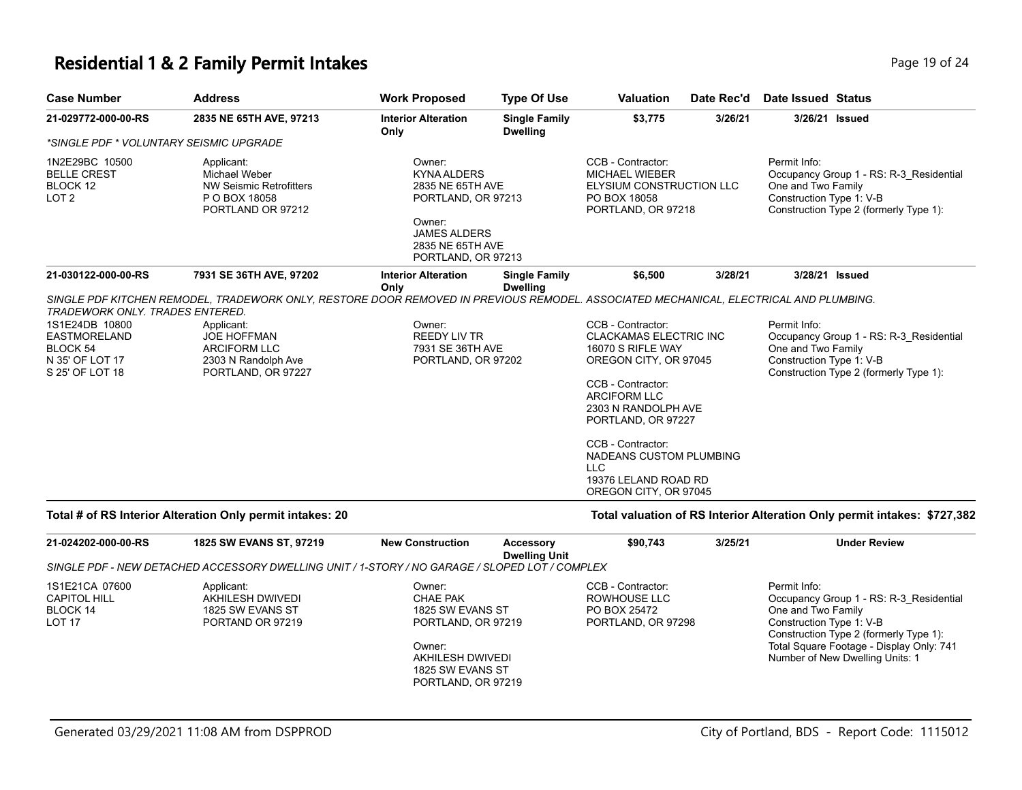#### **Residential 1 & 2 Family Permit Intakes Page 19 of 24 Page 19 of 24**

| <b>Case Number</b>                                                                                                  | <b>Address</b>                                                                                                                                                                                                                                | <b>Work Proposed</b>                                                                                                                              | <b>Type Of Use</b>                      | <b>Valuation</b>                                                                                                                                                                                                                                                                                   | Date Rec'd | Date Issued Status                                                                                                                                  |
|---------------------------------------------------------------------------------------------------------------------|-----------------------------------------------------------------------------------------------------------------------------------------------------------------------------------------------------------------------------------------------|---------------------------------------------------------------------------------------------------------------------------------------------------|-----------------------------------------|----------------------------------------------------------------------------------------------------------------------------------------------------------------------------------------------------------------------------------------------------------------------------------------------------|------------|-----------------------------------------------------------------------------------------------------------------------------------------------------|
| 21-029772-000-00-RS                                                                                                 | 2835 NE 65TH AVE, 97213                                                                                                                                                                                                                       | <b>Interior Alteration</b><br>Only                                                                                                                | <b>Single Family</b><br><b>Dwelling</b> | \$3,775                                                                                                                                                                                                                                                                                            | 3/26/21    | 3/26/21 Issued                                                                                                                                      |
| *SINGLE PDF * VOLUNTARY SEISMIC UPGRADE                                                                             |                                                                                                                                                                                                                                               |                                                                                                                                                   |                                         |                                                                                                                                                                                                                                                                                                    |            |                                                                                                                                                     |
| 1N2E29BC 10500<br><b>BELLE CREST</b><br>BLOCK 12<br>LOT <sub>2</sub>                                                | Applicant:<br><b>Michael Weber</b><br><b>NW Seismic Retrofitters</b><br>P O BOX 18058<br>PORTLAND OR 97212                                                                                                                                    | Owner:<br><b>KYNA ALDERS</b><br>2835 NE 65TH AVE<br>PORTLAND, OR 97213<br>Owner:<br><b>JAMES ALDERS</b><br>2835 NE 65TH AVE<br>PORTLAND, OR 97213 |                                         | CCB - Contractor:<br><b>MICHAEL WIEBER</b><br>ELYSIUM CONSTRUCTION LLC<br>PO BOX 18058<br>PORTLAND, OR 97218                                                                                                                                                                                       |            | Permit Info:<br>Occupancy Group 1 - RS: R-3 Residential<br>One and Two Family<br>Construction Type 1: V-B<br>Construction Type 2 (formerly Type 1): |
| 21-030122-000-00-RS                                                                                                 | 7931 SE 36TH AVE, 97202                                                                                                                                                                                                                       | <b>Interior Alteration</b><br>Only                                                                                                                | <b>Single Family</b><br><b>Dwelling</b> | \$6,500                                                                                                                                                                                                                                                                                            | 3/28/21    | 3/28/21 Issued                                                                                                                                      |
| TRADEWORK ONLY. TRADES ENTERED.<br>1S1E24DB 10800<br>EASTMORELAND<br>BLOCK 54<br>N 35' OF LOT 17<br>S 25' OF LOT 18 | SINGLE PDF KITCHEN REMODEL, TRADEWORK ONLY, RESTORE DOOR REMOVED IN PREVIOUS REMODEL. ASSOCIATED MECHANICAL, ELECTRICAL AND PLUMBING.<br>Applicant:<br><b>JOE HOFFMAN</b><br><b>ARCIFORM LLC</b><br>2303 N Randolph Ave<br>PORTLAND, OR 97227 | Owner:<br><b>REEDY LIV TR</b><br>7931 SE 36TH AVE<br>PORTLAND, OR 97202                                                                           |                                         | CCB - Contractor:<br><b>CLACKAMAS ELECTRIC INC</b><br>16070 S RIFLE WAY<br>OREGON CITY, OR 97045<br>CCB - Contractor:<br><b>ARCIFORM LLC</b><br>2303 N RANDOLPH AVE<br>PORTLAND, OR 97227<br>CCB - Contractor:<br>NADEANS CUSTOM PLUMBING<br>LLC.<br>19376 LELAND ROAD RD<br>OREGON CITY, OR 97045 |            | Permit Info:<br>Occupancy Group 1 - RS: R-3 Residential<br>One and Two Family<br>Construction Type 1: V-B<br>Construction Type 2 (formerly Type 1): |
|                                                                                                                     | Total # of RS Interior Alteration Only permit intakes: 20                                                                                                                                                                                     |                                                                                                                                                   |                                         |                                                                                                                                                                                                                                                                                                    |            | Total valuation of RS Interior Alteration Only permit intakes: \$727,382                                                                            |
| 21-024202-000-00-RS                                                                                                 | 1825 SW EVANS ST, 97219<br>SINGLE PDF - NEW DETACHED ACCESSORY DWELLING UNIT / 1-STORY / NO GARAGE / SLOPED LOT / COMPLEX                                                                                                                     | <b>New Construction</b>                                                                                                                           | Accessory<br><b>Dwelling Unit</b>       | \$90,743                                                                                                                                                                                                                                                                                           | 3/25/21    | <b>Under Review</b>                                                                                                                                 |
|                                                                                                                     |                                                                                                                                                                                                                                               |                                                                                                                                                   |                                         |                                                                                                                                                                                                                                                                                                    |            |                                                                                                                                                     |

| 1S1E21CA 07600 | Applicant:       | Owner:             | CCB - Contractor:  | Permit Info:                             |
|----------------|------------------|--------------------|--------------------|------------------------------------------|
| CAPITOL HILL   | AKHILESH DWIVEDI | CHAE PAK           | ROWHOUSE LLC       | Occupancy Group 1 - RS: R-3 Residential  |
| BLOCK 14       | 1825 SW EVANS ST | 1825 SW EVANS ST   | PO BOX 25472       | One and Two Family                       |
| <b>LOT 17</b>  | PORTAND OR 97219 | PORTLAND, OR 97219 | PORTLAND, OR 97298 | Construction Type 1: V-B                 |
|                |                  |                    |                    | Construction Type 2 (formerly Type 1):   |
|                |                  | Owner:             |                    | Total Square Footage - Display Only: 741 |
|                |                  | AKHILESH DWIVEDI   |                    | Number of New Dwelling Units: 1          |

AKHILESH DWIVEDI 1825 SW EVANS ST PORTLAND, OR 97219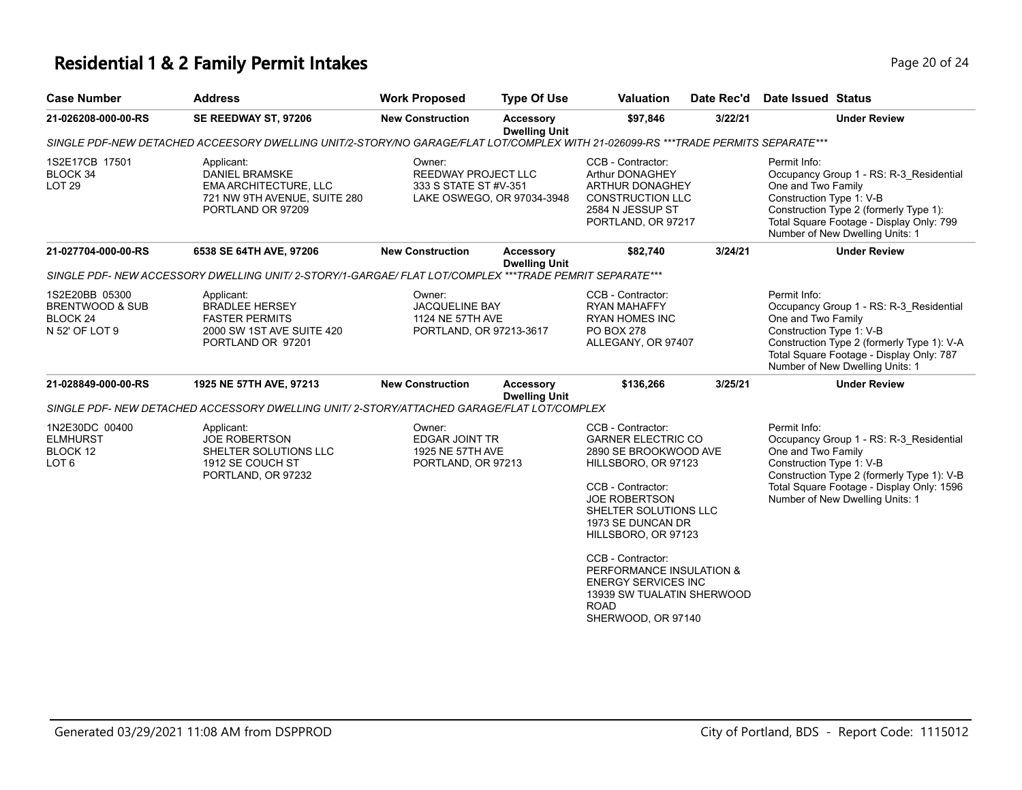# **Residential 1 & 2 Family Permit Intakes Page 20 of 24 Page 20 of 24**

| <b>Case Number</b>                                                                    | <b>Address</b>                                                                                                                    | <b>Work Proposed</b>                                                                        | <b>Type Of Use</b>                       | <b>Valuation</b>                                                                                                                                                                                                                                                  | Date Rec'd | <b>Date Issued Status</b>                                      |                                                                                                                                                                       |
|---------------------------------------------------------------------------------------|-----------------------------------------------------------------------------------------------------------------------------------|---------------------------------------------------------------------------------------------|------------------------------------------|-------------------------------------------------------------------------------------------------------------------------------------------------------------------------------------------------------------------------------------------------------------------|------------|----------------------------------------------------------------|-----------------------------------------------------------------------------------------------------------------------------------------------------------------------|
| 21-026208-000-00-RS                                                                   | SE REEDWAY ST, 97206                                                                                                              | <b>New Construction</b>                                                                     | <b>Accessory</b><br><b>Dwelling Unit</b> | \$97,846                                                                                                                                                                                                                                                          | 3/22/21    |                                                                | <b>Under Review</b>                                                                                                                                                   |
|                                                                                       | SINGLE PDF-NEW DETACHED ACCEESORY DWELLING UNIT/2-STORY/NO GARAGE/FLAT LOT/COMPLEX WITH 21-026099-RS ***TRADE PERMITS SEPARATE*** |                                                                                             |                                          |                                                                                                                                                                                                                                                                   |            |                                                                |                                                                                                                                                                       |
| 1S2E17CB 17501<br>BLOCK 34<br>LOT <sub>29</sub>                                       | Applicant:<br><b>DANIEL BRAMSKE</b><br><b>EMA ARCHITECTURE, LLC</b><br>721 NW 9TH AVENUE, SUITE 280<br>PORTLAND OR 97209          | Owner:<br><b>REEDWAY PROJECT LLC</b><br>333 S STATE ST #V-351<br>LAKE OSWEGO, OR 97034-3948 |                                          | CCB - Contractor:<br>Arthur DONAGHEY<br><b>ARTHUR DONAGHEY</b><br><b>CONSTRUCTION LLC</b><br>2584 N JESSUP ST<br>PORTLAND, OR 97217                                                                                                                               |            | Permit Info:<br>One and Two Family<br>Construction Type 1: V-B | Occupancy Group 1 - RS: R-3_Residential<br>Construction Type 2 (formerly Type 1):<br>Total Square Footage - Display Only: 799<br>Number of New Dwelling Units: 1      |
| 21-027704-000-00-RS                                                                   | 6538 SE 64TH AVE, 97206                                                                                                           | <b>New Construction</b>                                                                     | <b>Accessory</b><br><b>Dwelling Unit</b> | \$82,740                                                                                                                                                                                                                                                          | 3/24/21    |                                                                | <b>Under Review</b>                                                                                                                                                   |
|                                                                                       | SINGLE PDF-NEW ACCESSORY DWELLING UNIT/2-STORY/1-GARGAE/ FLAT LOT/COMPLEX ***TRADE PEMRIT SEPARATE***                             |                                                                                             |                                          |                                                                                                                                                                                                                                                                   |            |                                                                |                                                                                                                                                                       |
| 1S2E20BB 05300<br><b>BRENTWOOD &amp; SUB</b><br>BLOCK <sub>24</sub><br>N 52' OF LOT 9 | Applicant:<br><b>BRADLEE HERSEY</b><br><b>FASTER PERMITS</b><br>2000 SW 1ST AVE SUITE 420<br>PORTLAND OR 97201                    | Owner:<br><b>JACQUELINE BAY</b><br>1124 NE 57TH AVE<br>PORTLAND, OR 97213-3617              |                                          | CCB - Contractor:<br><b>RYAN MAHAFFY</b><br><b>RYAN HOMES INC</b><br>PO BOX 278<br>ALLEGANY, OR 97407                                                                                                                                                             |            | Permit Info:<br>One and Two Family<br>Construction Type 1: V-B | Occupancy Group 1 - RS: R-3_Residential<br>Construction Type 2 (formerly Type 1): V-A<br>Total Square Footage - Display Only: 787<br>Number of New Dwelling Units: 1  |
| 21-028849-000-00-RS                                                                   | 1925 NE 57TH AVE, 97213                                                                                                           | <b>New Construction</b>                                                                     | <b>Accessory</b><br><b>Dwelling Unit</b> | \$136,266                                                                                                                                                                                                                                                         | 3/25/21    |                                                                | <b>Under Review</b>                                                                                                                                                   |
|                                                                                       | SINGLE PDF-NEW DETACHED ACCESSORY DWELLING UNIT/2-STORY/ATTACHED GARAGE/FLAT LOT/COMPLEX                                          |                                                                                             |                                          |                                                                                                                                                                                                                                                                   |            |                                                                |                                                                                                                                                                       |
| 1N2E30DC 00400<br><b>ELMHURST</b><br>BLOCK 12<br>LOT <sub>6</sub>                     | Applicant:<br><b>JOE ROBERTSON</b><br>SHELTER SOLUTIONS LLC<br>1912 SE COUCH ST<br>PORTLAND, OR 97232                             | Owner:<br>EDGAR JOINT TR<br>1925 NE 57TH AVE<br>PORTLAND, OR 97213                          |                                          | CCB - Contractor:<br><b>GARNER ELECTRIC CO</b><br>2890 SE BROOKWOOD AVE<br>HILLSBORO, OR 97123<br>CCB - Contractor:<br><b>JOE ROBERTSON</b><br>SHELTER SOLUTIONS LLC<br>1973 SE DUNCAN DR<br>HILLSBORO, OR 97123<br>CCB - Contractor:<br>PERFORMANCE INSULATION & |            | Permit Info:<br>One and Two Family<br>Construction Type 1: V-B | Occupancy Group 1 - RS: R-3_Residential<br>Construction Type 2 (formerly Type 1): V-B<br>Total Square Footage - Display Only: 1596<br>Number of New Dwelling Units: 1 |
|                                                                                       |                                                                                                                                   |                                                                                             |                                          | <b>ENERGY SERVICES INC</b><br>13939 SW TUALATIN SHERWOOD<br><b>ROAD</b><br>SHERWOOD, OR 97140                                                                                                                                                                     |            |                                                                |                                                                                                                                                                       |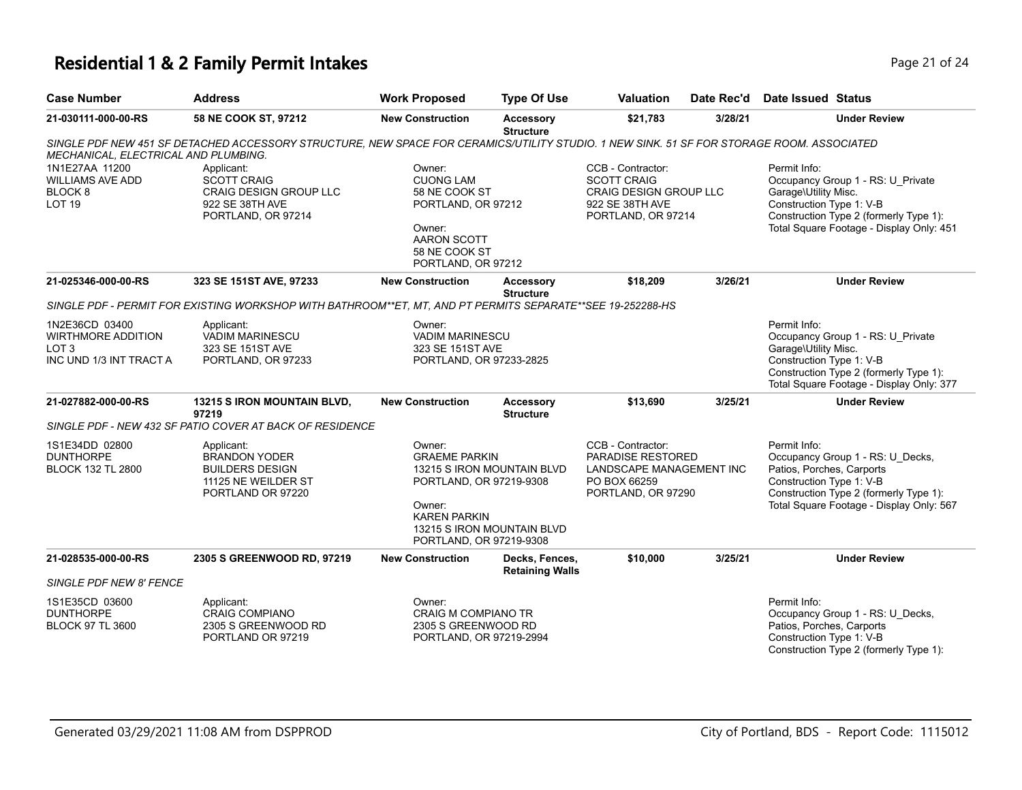# **Residential 1 & 2 Family Permit Intakes Page 21 of 24 Page 21 of 24**

| <b>Case Number</b>                                                                         | <b>Address</b>                                                                                                                            | <b>Work Proposed</b>                                                                                                                                                              | <b>Type Of Use</b>                       | <b>Valuation</b>                                                                                                | Date Rec'd | Date Issued Status                                                                                                                                                                              |
|--------------------------------------------------------------------------------------------|-------------------------------------------------------------------------------------------------------------------------------------------|-----------------------------------------------------------------------------------------------------------------------------------------------------------------------------------|------------------------------------------|-----------------------------------------------------------------------------------------------------------------|------------|-------------------------------------------------------------------------------------------------------------------------------------------------------------------------------------------------|
| 21-030111-000-00-RS                                                                        | 58 NE COOK ST, 97212                                                                                                                      | <b>New Construction</b>                                                                                                                                                           | Accessory<br><b>Structure</b>            | \$21,783                                                                                                        | 3/28/21    | <b>Under Review</b>                                                                                                                                                                             |
| MECHANICAL, ELECTRICAL AND PLUMBING.                                                       | SINGLE PDF NEW 451 SF DETACHED ACCESSORY STRUCTURE, NEW SPACE FOR CERAMICS/UTILITY STUDIO. 1 NEW SINK. 51 SF FOR STORAGE ROOM. ASSOCIATED |                                                                                                                                                                                   |                                          |                                                                                                                 |            |                                                                                                                                                                                                 |
| 1N1E27AA 11200<br><b>WILLIAMS AVE ADD</b><br>BLOCK <sub>8</sub><br><b>LOT 19</b>           | Applicant:<br><b>SCOTT CRAIG</b><br>CRAIG DESIGN GROUP LLC<br>922 SE 38TH AVE<br>PORTLAND, OR 97214                                       | Owner:<br><b>CUONG LAM</b><br>58 NE COOK ST<br>PORTLAND, OR 97212<br>Owner:<br>AARON SCOTT<br>58 NE COOK ST<br>PORTLAND, OR 97212                                                 |                                          | CCB - Contractor:<br><b>SCOTT CRAIG</b><br>CRAIG DESIGN GROUP LLC<br>922 SE 38TH AVE<br>PORTLAND, OR 97214      |            | Permit Info:<br>Occupancy Group 1 - RS: U Private<br>Garage\Utility Misc.<br>Construction Type 1: V-B<br>Construction Type 2 (formerly Type 1):<br>Total Square Footage - Display Only: 451     |
| 21-025346-000-00-RS                                                                        | 323 SE 151ST AVE, 97233                                                                                                                   | <b>New Construction</b>                                                                                                                                                           | <b>Accessory</b><br><b>Structure</b>     | \$18,209                                                                                                        | 3/26/21    | <b>Under Review</b>                                                                                                                                                                             |
|                                                                                            | SINGLE PDF - PERMIT FOR EXISTING WORKSHOP WITH BATHROOM**ET. MT. AND PT PERMITS SEPARATE**SEE 19-252288-HS                                |                                                                                                                                                                                   |                                          |                                                                                                                 |            |                                                                                                                                                                                                 |
| 1N2E36CD 03400<br><b>WIRTHMORE ADDITION</b><br>LOT <sub>3</sub><br>INC UND 1/3 INT TRACT A | Applicant:<br><b>VADIM MARINESCU</b><br>323 SE 151ST AVE<br>PORTLAND, OR 97233                                                            | Owner:<br><b>VADIM MARINESCU</b><br>323 SE 151ST AVE<br>PORTLAND, OR 97233-2825                                                                                                   |                                          |                                                                                                                 |            | Permit Info:<br>Occupancy Group 1 - RS: U_Private<br>Garage\Utility Misc.<br>Construction Type 1: V-B<br>Construction Type 2 (formerly Type 1):<br>Total Square Footage - Display Only: 377     |
| 21-027882-000-00-RS                                                                        | <b>13215 S IRON MOUNTAIN BLVD,</b><br>97219                                                                                               | <b>New Construction</b>                                                                                                                                                           | Accessory<br><b>Structure</b>            | \$13,690                                                                                                        | 3/25/21    | <b>Under Review</b>                                                                                                                                                                             |
|                                                                                            | SINGLE PDF - NEW 432 SF PATIO COVER AT BACK OF RESIDENCE                                                                                  |                                                                                                                                                                                   |                                          |                                                                                                                 |            |                                                                                                                                                                                                 |
| 1S1E34DD 02800<br><b>DUNTHORPE</b><br><b>BLOCK 132 TL 2800</b>                             | Applicant:<br><b>BRANDON YODER</b><br><b>BUILDERS DESIGN</b><br>11125 NE WEILDER ST<br>PORTLAND OR 97220                                  | Owner:<br><b>GRAEME PARKIN</b><br>13215 S IRON MOUNTAIN BLVD<br>PORTLAND, OR 97219-9308<br>Owner:<br><b>KAREN PARKIN</b><br>13215 S IRON MOUNTAIN BLVD<br>PORTLAND, OR 97219-9308 |                                          | CCB - Contractor:<br><b>PARADISE RESTORED</b><br>LANDSCAPE MANAGEMENT INC<br>PO BOX 66259<br>PORTLAND, OR 97290 |            | Permit Info:<br>Occupancy Group 1 - RS: U Decks,<br>Patios, Porches, Carports<br>Construction Type 1: V-B<br>Construction Type 2 (formerly Type 1):<br>Total Square Footage - Display Only: 567 |
| 21-028535-000-00-RS                                                                        | 2305 S GREENWOOD RD, 97219                                                                                                                | <b>New Construction</b>                                                                                                                                                           | Decks, Fences,<br><b>Retaining Walls</b> | \$10,000                                                                                                        | 3/25/21    | <b>Under Review</b>                                                                                                                                                                             |
| SINGLE PDF NEW 8' FENCE                                                                    |                                                                                                                                           |                                                                                                                                                                                   |                                          |                                                                                                                 |            |                                                                                                                                                                                                 |
| 1S1E35CD 03600<br><b>DUNTHORPE</b><br><b>BLOCK 97 TL 3600</b>                              | Applicant:<br><b>CRAIG COMPIANO</b><br>2305 S GREENWOOD RD<br>PORTLAND OR 97219                                                           | Owner:<br><b>CRAIG M COMPIANO TR</b><br>2305 S GREENWOOD RD<br>PORTLAND, OR 97219-2994                                                                                            |                                          |                                                                                                                 |            | Permit Info:<br>Occupancy Group 1 - RS: U_Decks,<br>Patios, Porches, Carports<br>Construction Type 1: V-B<br>Construction Type 2 (formerly Type 1):                                             |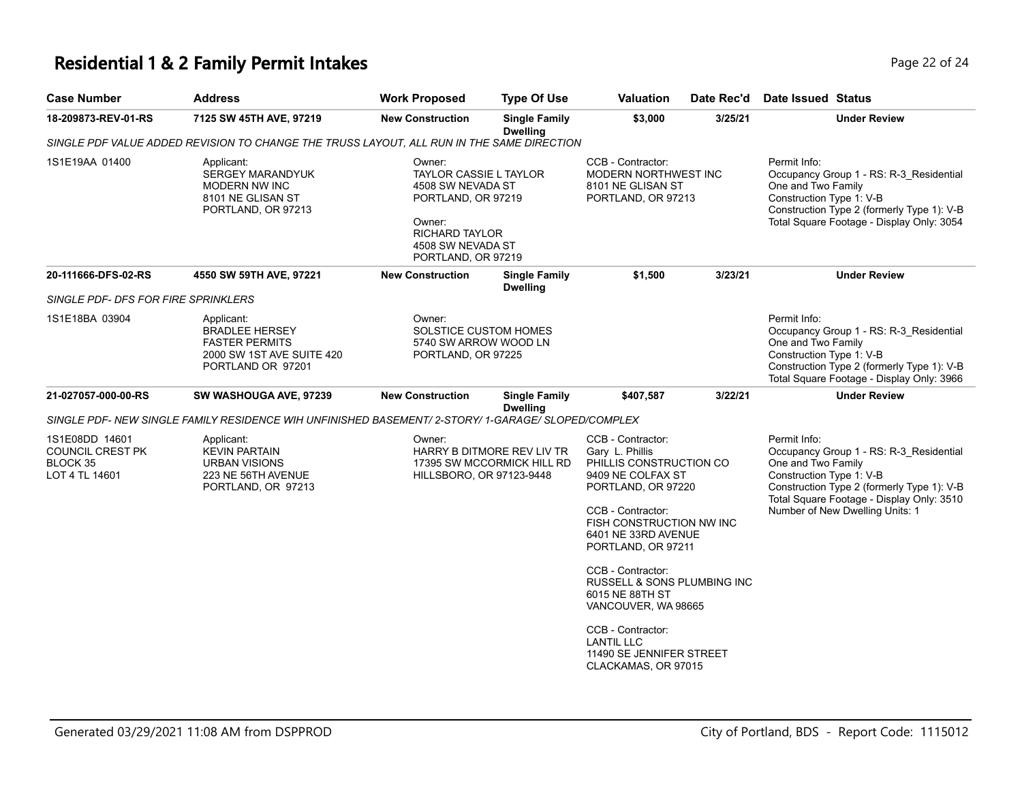# **Residential 1 & 2 Family Permit Intakes Page 22 of 24 Page 22 of 24**

| <b>Case Number</b>                                               | <b>Address</b>                                                                                                 | <b>Work Proposed</b>                                                                                                                                             | <b>Type Of Use</b>                                       | Valuation                                                                                                                                                                                                                     | Date Rec'd | Date Issued Status                                                                                                                                                                                                                      |
|------------------------------------------------------------------|----------------------------------------------------------------------------------------------------------------|------------------------------------------------------------------------------------------------------------------------------------------------------------------|----------------------------------------------------------|-------------------------------------------------------------------------------------------------------------------------------------------------------------------------------------------------------------------------------|------------|-----------------------------------------------------------------------------------------------------------------------------------------------------------------------------------------------------------------------------------------|
| 18-209873-REV-01-RS                                              | 7125 SW 45TH AVE, 97219                                                                                        | <b>New Construction</b>                                                                                                                                          | <b>Single Family</b><br><b>Dwelling</b>                  | \$3,000                                                                                                                                                                                                                       | 3/25/21    | <b>Under Review</b>                                                                                                                                                                                                                     |
|                                                                  | SINGLE PDF VALUE ADDED REVISION TO CHANGE THE TRUSS LAYOUT, ALL RUN IN THE SAME DIRECTION                      |                                                                                                                                                                  |                                                          |                                                                                                                                                                                                                               |            |                                                                                                                                                                                                                                         |
| 1S1E19AA 01400                                                   | Applicant:<br>SERGEY MARANDYUK<br>MODERN NW INC<br>8101 NE GLISAN ST<br>PORTLAND, OR 97213                     | Owner:<br><b>TAYLOR CASSIE L TAYLOR</b><br>4508 SW NEVADA ST<br>PORTLAND, OR 97219<br>Owner:<br><b>RICHARD TAYLOR</b><br>4508 SW NEVADA ST<br>PORTLAND, OR 97219 |                                                          | CCB - Contractor:<br>MODERN NORTHWEST INC<br>8101 NE GLISAN ST<br>PORTLAND, OR 97213                                                                                                                                          |            | Permit Info:<br>Occupancy Group 1 - RS: R-3 Residential<br>One and Two Family<br>Construction Type 1: V-B<br>Construction Type 2 (formerly Type 1): V-B<br>Total Square Footage - Display Only: 3054                                    |
| 20-111666-DFS-02-RS                                              | 4550 SW 59TH AVE, 97221                                                                                        | <b>New Construction</b>                                                                                                                                          | <b>Single Family</b><br><b>Dwelling</b>                  | \$1,500                                                                                                                                                                                                                       | 3/23/21    | <b>Under Review</b>                                                                                                                                                                                                                     |
| SINGLE PDF- DFS FOR FIRE SPRINKLERS                              |                                                                                                                |                                                                                                                                                                  |                                                          |                                                                                                                                                                                                                               |            |                                                                                                                                                                                                                                         |
| 1S1E18BA 03904                                                   | Applicant:<br><b>BRADLEE HERSEY</b><br><b>FASTER PERMITS</b><br>2000 SW 1ST AVE SUITE 420<br>PORTLAND OR 97201 | Owner:<br>SOLSTICE CUSTOM HOMES<br>5740 SW ARROW WOOD LN<br>PORTLAND, OR 97225                                                                                   |                                                          |                                                                                                                                                                                                                               |            | Permit Info:<br>Occupancy Group 1 - RS: R-3_Residential<br>One and Two Family<br>Construction Type 1: V-B<br>Construction Type 2 (formerly Type 1): V-B<br>Total Square Footage - Display Only: 3966                                    |
| 21-027057-000-00-RS                                              | SW WASHOUGA AVE, 97239                                                                                         | <b>New Construction</b>                                                                                                                                          | <b>Single Family</b><br><b>Dwelling</b>                  | \$407,587                                                                                                                                                                                                                     | 3/22/21    | <b>Under Review</b>                                                                                                                                                                                                                     |
|                                                                  | SINGLE PDF- NEW SINGLE FAMILY RESIDENCE WIH UNFINISHED BASEMENT/ 2-STORY/ 1-GARAGE/ SLOPED/COMPLEX             |                                                                                                                                                                  |                                                          |                                                                                                                                                                                                                               |            |                                                                                                                                                                                                                                         |
| 1S1E08DD 14601<br>COUNCIL CREST PK<br>BLOCK 35<br>LOT 4 TL 14601 | Applicant:<br><b>KEVIN PARTAIN</b><br><b>URBAN VISIONS</b><br>223 NE 56TH AVENUE<br>PORTLAND, OR 97213         | Owner:<br>HILLSBORO, OR 97123-9448                                                                                                                               | HARRY B DITMORE REV LIV TR<br>17395 SW MCCORMICK HILL RD | CCB - Contractor:<br>Gary L. Phillis<br>PHILLIS CONSTRUCTION CO<br>9409 NE COLFAX ST<br>PORTLAND, OR 97220<br>CCB - Contractor:<br>FISH CONSTRUCTION NW INC<br>6401 NE 33RD AVENUE<br>PORTLAND, OR 97211<br>CCB - Contractor: |            | Permit Info:<br>Occupancy Group 1 - RS: R-3_Residential<br>One and Two Family<br>Construction Type 1: V-B<br>Construction Type 2 (formerly Type 1): V-B<br>Total Square Footage - Display Only: 3510<br>Number of New Dwelling Units: 1 |
|                                                                  |                                                                                                                |                                                                                                                                                                  |                                                          | RUSSELL & SONS PLUMBING INC<br>6015 NE 88TH ST<br>VANCOUVER, WA 98665<br>CCB - Contractor:                                                                                                                                    |            |                                                                                                                                                                                                                                         |
|                                                                  |                                                                                                                |                                                                                                                                                                  |                                                          | <b>LANTIL LLC</b><br>11490 SE JENNIFER STREET<br>CLACKAMAS, OR 97015                                                                                                                                                          |            |                                                                                                                                                                                                                                         |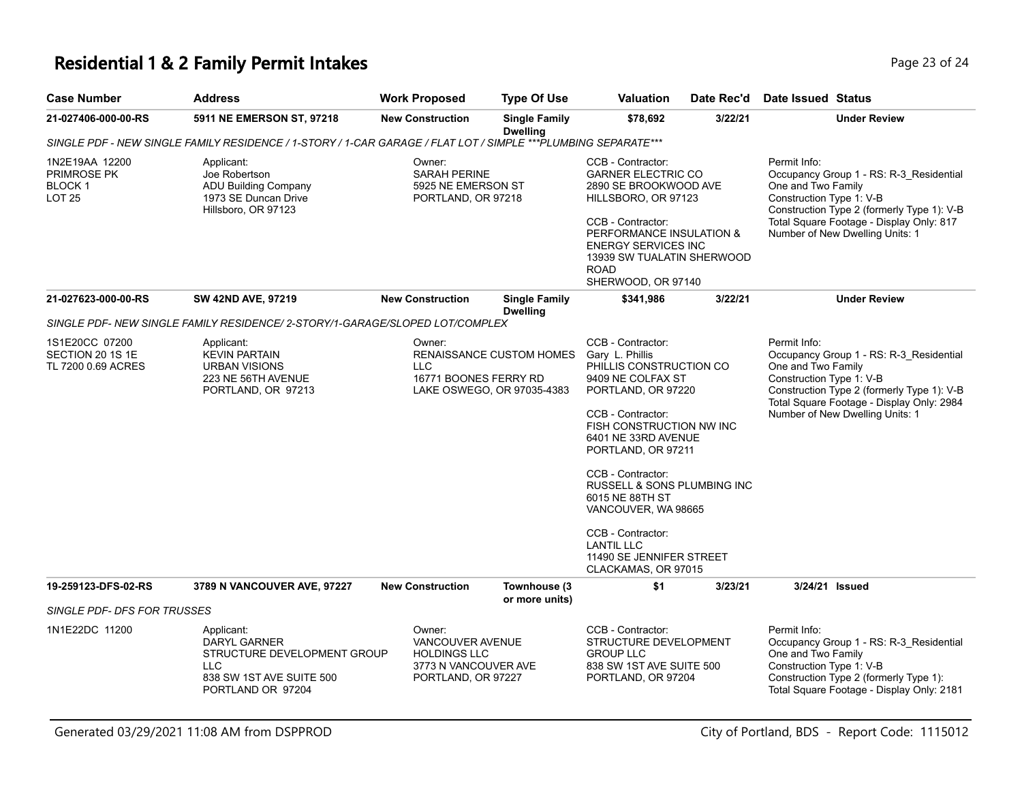# **Residential 1 & 2 Family Permit Intakes Page 23 of 24 Page 23 of 24**

| <b>Case Number</b>                                                                                            | <b>Address</b>                                                                                                                  | <b>Work Proposed</b>                                                                            | <b>Type Of Use</b>                                            | <b>Valuation</b>                                                                                                                                                                                                                                                                                                                                                                                    | Date Rec'd | Date Issued Status                                                                                                                                                                                                                      |  |  |  |  |  |  |  |
|---------------------------------------------------------------------------------------------------------------|---------------------------------------------------------------------------------------------------------------------------------|-------------------------------------------------------------------------------------------------|---------------------------------------------------------------|-----------------------------------------------------------------------------------------------------------------------------------------------------------------------------------------------------------------------------------------------------------------------------------------------------------------------------------------------------------------------------------------------------|------------|-----------------------------------------------------------------------------------------------------------------------------------------------------------------------------------------------------------------------------------------|--|--|--|--|--|--|--|
| 21-027406-000-00-RS                                                                                           | 5911 NE EMERSON ST, 97218                                                                                                       | <b>New Construction</b>                                                                         | <b>Single Family</b><br><b>Dwelling</b>                       | \$78,692                                                                                                                                                                                                                                                                                                                                                                                            | 3/22/21    | <b>Under Review</b>                                                                                                                                                                                                                     |  |  |  |  |  |  |  |
| SINGLE PDF - NEW SINGLE FAMILY RESIDENCE / 1-STORY / 1-CAR GARAGE / FLAT LOT / SIMPLE ***PLUMBING SEPARATE*** |                                                                                                                                 |                                                                                                 |                                                               |                                                                                                                                                                                                                                                                                                                                                                                                     |            |                                                                                                                                                                                                                                         |  |  |  |  |  |  |  |
| 1N2E19AA 12200<br><b>PRIMROSE PK</b><br>BLOCK 1<br><b>LOT 25</b>                                              | Applicant:<br>Joe Robertson<br><b>ADU Building Company</b><br>1973 SE Duncan Drive<br>Hillsboro, OR 97123                       | Owner:<br><b>SARAH PERINE</b><br>5925 NE EMERSON ST<br>PORTLAND, OR 97218                       |                                                               | CCB - Contractor:<br><b>GARNER ELECTRIC CO</b><br>2890 SE BROOKWOOD AVE<br>HILLSBORO, OR 97123<br>CCB - Contractor:<br>PERFORMANCE INSULATION &<br><b>ENERGY SERVICES INC</b><br>13939 SW TUALATIN SHERWOOD<br><b>ROAD</b><br>SHERWOOD, OR 97140                                                                                                                                                    |            | Permit Info:<br>Occupancy Group 1 - RS: R-3_Residential<br>One and Two Family<br>Construction Type 1: V-B<br>Construction Type 2 (formerly Type 1): V-B<br>Total Square Footage - Display Only: 817<br>Number of New Dwelling Units: 1  |  |  |  |  |  |  |  |
| 21-027623-000-00-RS                                                                                           | <b>SW 42ND AVE, 97219</b>                                                                                                       | <b>New Construction</b>                                                                         | <b>Single Family</b><br><b>Dwelling</b>                       | \$341,986                                                                                                                                                                                                                                                                                                                                                                                           | 3/22/21    | <b>Under Review</b>                                                                                                                                                                                                                     |  |  |  |  |  |  |  |
|                                                                                                               | SINGLE PDF- NEW SINGLE FAMILY RESIDENCE/ 2-STORY/1-GARAGE/SLOPED LOT/COMPLEX                                                    |                                                                                                 |                                                               |                                                                                                                                                                                                                                                                                                                                                                                                     |            |                                                                                                                                                                                                                                         |  |  |  |  |  |  |  |
| 1S1E20CC 07200<br>SECTION 20 1S 1E<br>TL 7200 0.69 ACRES                                                      | Applicant:<br><b>KEVIN PARTAIN</b><br><b>URBAN VISIONS</b><br>223 NE 56TH AVENUE<br>PORTLAND, OR 97213                          | Owner:<br>LLC.<br>16771 BOONES FERRY RD                                                         | <b>RENAISSANCE CUSTOM HOMES</b><br>LAKE OSWEGO, OR 97035-4383 | CCB - Contractor:<br>Gary L. Phillis<br>PHILLIS CONSTRUCTION CO<br>9409 NE COLFAX ST<br>PORTLAND, OR 97220<br>CCB - Contractor:<br>FISH CONSTRUCTION NW INC<br>6401 NE 33RD AVENUE<br>PORTLAND, OR 97211<br>CCB - Contractor:<br>RUSSELL & SONS PLUMBING INC<br>6015 NE 88TH ST<br>VANCOUVER, WA 98665<br>CCB - Contractor:<br><b>LANTIL LLC</b><br>11490 SE JENNIFER STREET<br>CLACKAMAS, OR 97015 |            | Permit Info:<br>Occupancy Group 1 - RS: R-3_Residential<br>One and Two Family<br>Construction Type 1: V-B<br>Construction Type 2 (formerly Type 1): V-B<br>Total Square Footage - Display Only: 2984<br>Number of New Dwelling Units: 1 |  |  |  |  |  |  |  |
| 19-259123-DFS-02-RS                                                                                           | 3789 N VANCOUVER AVE, 97227                                                                                                     | <b>New Construction</b>                                                                         | Townhouse (3                                                  | \$1                                                                                                                                                                                                                                                                                                                                                                                                 | 3/23/21    | 3/24/21 Issued                                                                                                                                                                                                                          |  |  |  |  |  |  |  |
| SINGLE PDF- DFS FOR TRUSSES                                                                                   |                                                                                                                                 |                                                                                                 | or more units)                                                |                                                                                                                                                                                                                                                                                                                                                                                                     |            |                                                                                                                                                                                                                                         |  |  |  |  |  |  |  |
| 1N1E22DC 11200                                                                                                | Applicant:<br><b>DARYL GARNER</b><br>STRUCTURE DEVELOPMENT GROUP<br><b>LLC</b><br>838 SW 1ST AVE SUITE 500<br>PORTLAND OR 97204 | Owner:<br>VANCOUVER AVENUE<br><b>HOLDINGS LLC</b><br>3773 N VANCOUVER AVE<br>PORTLAND, OR 97227 |                                                               | CCB - Contractor:<br>STRUCTURE DEVELOPMENT<br><b>GROUP LLC</b><br>838 SW 1ST AVE SUITE 500<br>PORTLAND, OR 97204                                                                                                                                                                                                                                                                                    |            | Permit Info:<br>Occupancy Group 1 - RS: R-3_Residential<br>One and Two Family<br>Construction Type 1: V-B<br>Construction Type 2 (formerly Type 1):<br>Total Square Footage - Display Only: 2181                                        |  |  |  |  |  |  |  |